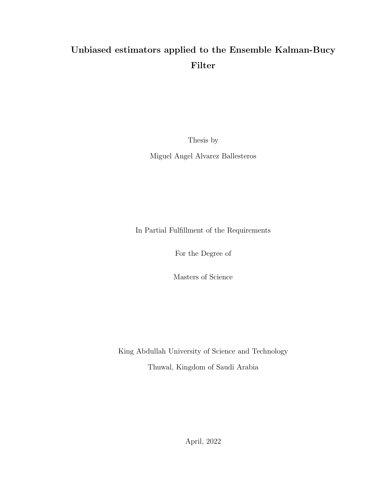# <span id="page-0-0"></span>Unbiased estimators applied to the Ensemble Kalman-Bucy Filter

Thesis by

Miguel Angel Alvarez Ballesteros

In Partial Fulfillment of the Requirements

For the Degree of

Masters of Science

King Abdullah University of Science and Technology

Thuwal, Kingdom of Saudi Arabia

April, 2022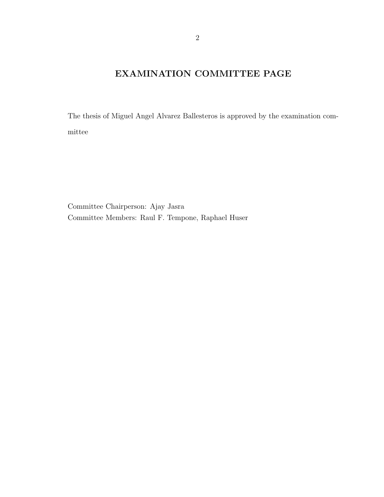## EXAMINATION COMMITTEE PAGE

The thesis of Miguel Angel Alvarez Ballesteros is approved by the examination committee

Committee Chairperson: Ajay Jasra Committee Members: Raul F. Tempone, Raphael Huser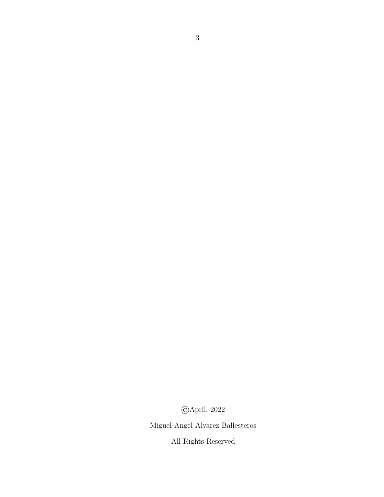©April, 2022

Miguel Angel Alvarez Ballesteros

All Rights Reserved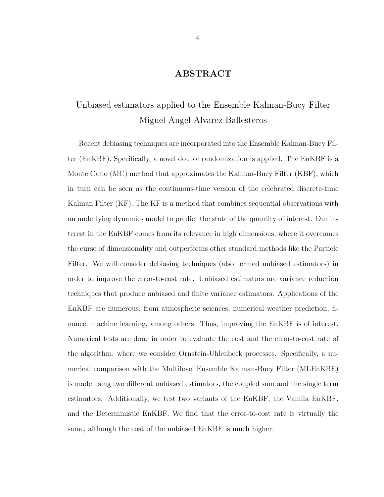## ABSTRACT

## Unbiased estimators applied to the Ensemble Kalman-Bucy Filter Miguel Angel Alvarez Ballesteros

Recent debiasing techniques are incorporated into the Ensemble Kalman-Bucy Filter (EnKBF). Specifically, a novel double randomization is applied. The EnKBF is a Monte Carlo (MC) method that approximates the Kalman-Bucy Filter (KBF), which in turn can be seen as the continuous-time version of the celebrated discrete-time Kalman Filter (KF). The KF is a method that combines sequential observations with an underlying dynamics model to predict the state of the quantity of interest. Our interest in the EnKBF comes from its relevance in high dimensions, where it overcomes the curse of dimensionality and outperforms other standard methods like the Particle Filter. We will consider debiasing techniques (also termed unbiased estimators) in order to improve the error-to-cost rate. Unbiased estimators are variance reduction techniques that produce unbiased and finite variance estimators. Applications of the EnKBF are numerous, from atmospheric sciences, numerical weather prediction, finance, machine learning, among others. Thus, improving the EnKBF is of interest. Numerical tests are done in order to evaluate the cost and the error-to-cost rate of the algorithm, where we consider Ornstein-Uhlenbeck processes. Specifically, a numerical comparison with the Multilevel Ensemble Kalman-Bucy Filter (MLEnKBF) is made using two different unbiased estimators, the coupled sum and the single term estimators. Additionally, we test two variants of the EnKBF, the Vanilla EnKBF, and the Deterministic EnKBF. We find that the error-to-cost rate is virtually the same, although the cost of the unbiased EnKBF is much higher.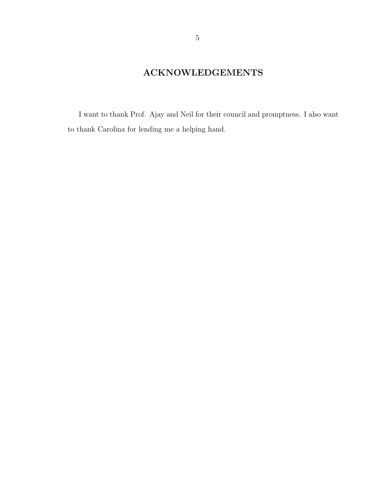## ACKNOWLEDGEMENTS

I want to thank Prof. Ajay and Neil for their council and promptness. I also want to thank Carolina for lending me a helping hand.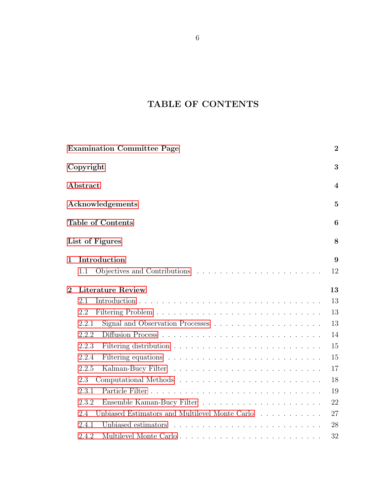# <span id="page-5-0"></span>TABLE OF CONTENTS

|                | <b>Examination Committee Page</b>                                                            | $\boldsymbol{2}$ |
|----------------|----------------------------------------------------------------------------------------------|------------------|
|                | Copyright                                                                                    | 3                |
|                | Abstract                                                                                     | $\overline{4}$   |
|                | Acknowledgements                                                                             | $\overline{5}$   |
|                | <b>Table of Contents</b>                                                                     | 6                |
|                | List of Figures                                                                              | 8                |
| $\mathbf 1$    | Introduction                                                                                 | 9                |
|                | 1.1                                                                                          | 12               |
| $\overline{2}$ | <b>Literature Review</b>                                                                     | 13               |
|                | 2.1                                                                                          | 13               |
|                | 2.2                                                                                          | 13               |
|                | Signal and Observation Processes $\ldots \ldots \ldots \ldots \ldots \ldots \ldots$<br>2.2.1 | 13               |
|                | 2.2.2                                                                                        | 14               |
|                | 2.2.3                                                                                        | 15               |
|                | 2.2.4                                                                                        | 15               |
|                | 2.2.5                                                                                        | 17               |
|                | 2.3                                                                                          | 18               |
|                | 2.3.1                                                                                        | 19               |
|                | 2.3.2                                                                                        | 22               |
|                | Unbiased Estimators and Multilevel Monte Carlo<br>2.4                                        | 27               |
|                | 2.4.1                                                                                        | 28               |
|                | 2.4.2                                                                                        | 32               |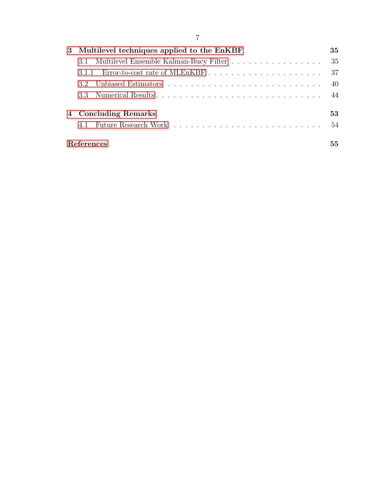| 3 Multilevel techniques applied to the EnKBF  | 35  |  |
|-----------------------------------------------|-----|--|
| 3.1 Multilevel Ensemble Kalman-Bucy Filter 35 |     |  |
| 311                                           |     |  |
|                                               | -40 |  |
|                                               |     |  |
| 4 Concluding Remarks                          | 53  |  |
|                                               | .54 |  |
| References                                    |     |  |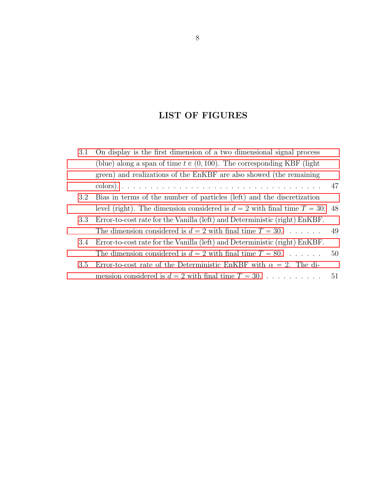## LIST OF FIGURES

| 3.1 | On display is the first dimension of a two dimensional signal process            |    |
|-----|----------------------------------------------------------------------------------|----|
|     | (blue) along a span of time $t \in (0, 100)$ . The corresponding KBF (light      |    |
|     | green) and realizations of the EnKBF are also showed (the remaining              |    |
|     |                                                                                  |    |
| 3.2 | Bias in terms of the number of particles (left) and the discretization           |    |
|     | level (right). The dimension considered is $d = 2$ with final time $T = 30$ . 48 |    |
| 3.3 | Error-to-cost rate for the Vanilla (left) and Deterministic (right) EnKBF.       |    |
|     | The dimension considered is $d = 2$ with final time $T = 30$ 49                  |    |
| 3.4 | Error-to-cost rate for the Vanilla (left) and Deterministic (right) EnKBF.       |    |
|     | The dimension considered is $d = 2$ with final time $T = 80$                     | 50 |
| 3.5 | Error-to-cost rate of the Deterministic EnKBF with $\alpha = 2$ . The di-        |    |
|     | mension considered is $d = 2$ with final time $T = 30$ .                         | 51 |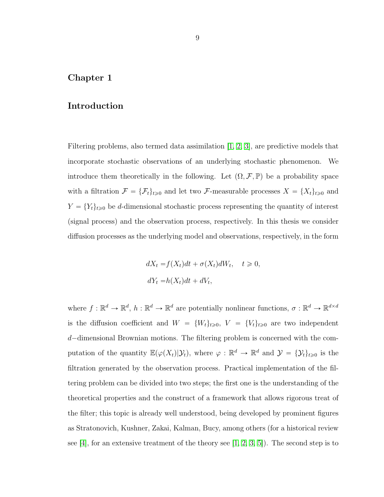## <span id="page-8-0"></span>Chapter 1

### Introduction

Filtering problems, also termed data assimilation [\[1,](#page-54-0) [2,](#page-54-1) [3\]](#page-54-2), are predictive models that incorporate stochastic observations of an underlying stochastic phenomenon. We introduce them theoretically in the following. Let  $(\Omega, \mathcal{F}, \mathbb{P})$  be a probability space with a filtration  $\mathcal{F} = {\{\mathcal{F}_t\}}_{t\geq0}$  and let two  $\mathcal{F}$ -measurable processes  $X = {X_t\}}_{t\geq0}$  and  $Y = \{Y_t\}_{t\geq0}$  be d-dimensional stochastic process representing the quantity of interest (signal process) and the observation process, respectively. In this thesis we consider diffusion processes as the underlying model and observations, respectively, in the form

$$
dX_t = f(X_t)dt + \sigma(X_t)dW_t, \quad t \ge 0,
$$
  

$$
dY_t = h(X_t)dt + dV_t,
$$

where  $f: \mathbb{R}^d \to \mathbb{R}^d$ ,  $h: \mathbb{R}^d \to \mathbb{R}^d$  are potentially nonlinear functions,  $\sigma: \mathbb{R}^d \to \mathbb{R}^{d \times d}$ is the diffusion coefficient and  $W = \{W_t\}_{t \geqslant 0}, V = \{V_t\}_{t \geqslant 0}$  are two independent  $d$ -dimensional Brownian motions. The filtering problem is concerned with the computation of the quantity  $\mathbb{E}(\varphi(X_t)|\mathcal{Y}_t)$ , where  $\varphi : \mathbb{R}^d \to \mathbb{R}^d$  and  $\mathcal{Y} = {\{\mathcal{Y}_t\}}_{t \geq 0}$  is the filtration generated by the observation process. Practical implementation of the filtering problem can be divided into two steps; the first one is the understanding of the theoretical properties and the construct of a framework that allows rigorous treat of the filter; this topic is already well understood, being developed by prominent figures as Stratonovich, Kushner, Zakai, Kalman, Bucy, among others (for a historical review see [\[4\]](#page-54-3), for an extensive treatment of the theory see  $[1, 2, 3, 5]$  $[1, 2, 3, 5]$  $[1, 2, 3, 5]$  $[1, 2, 3, 5]$ . The second step is to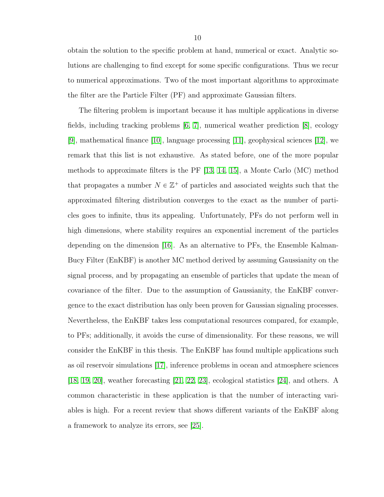obtain the solution to the specific problem at hand, numerical or exact. Analytic solutions are challenging to find except for some specific configurations. Thus we recur to numerical approximations. Two of the most important algorithms to approximate the filter are the Particle Filter (PF) and approximate Gaussian filters.

The filtering problem is important because it has multiple applications in diverse fields, including tracking problems [\[6,](#page-54-5) [7\]](#page-54-6), numerical weather prediction [\[8\]](#page-54-7), ecology  $[9]$ , mathematical finance  $[10]$ , language processing  $[11]$ , geophysical sciences  $[12]$ , we remark that this list is not exhaustive. As stated before, one of the more popular methods to approximate filters is the PF [\[13,](#page-55-0) [14,](#page-55-1) [15\]](#page-55-2), a Monte Carlo (MC) method that propagates a number  $N \in \mathbb{Z}^+$  of particles and associated weights such that the approximated filtering distribution converges to the exact as the number of particles goes to infinite, thus its appealing. Unfortunately, PFs do not perform well in high dimensions, where stability requires an exponential increment of the particles depending on the dimension [\[16\]](#page-55-3). As an alternative to PFs, the Ensemble Kalman-Bucy Filter (EnKBF) is another MC method derived by assuming Gaussianity on the signal process, and by propagating an ensemble of particles that update the mean of covariance of the filter. Due to the assumption of Gaussianity, the EnKBF convergence to the exact distribution has only been proven for Gaussian signaling processes. Nevertheless, the EnKBF takes less computational resources compared, for example, to PFs; additionally, it avoids the curse of dimensionality. For these reasons, we will consider the EnKBF in this thesis. The EnKBF has found multiple applications such as oil reservoir simulations [\[17\]](#page-55-4), inference problems in ocean and atmosphere sciences [\[18,](#page-55-5) [19,](#page-55-6) [20\]](#page-55-7), weather forecasting [\[21,](#page-55-8) [22,](#page-55-9) [23\]](#page-55-10), ecological statistics [\[24\]](#page-56-0), and others. A common characteristic in these application is that the number of interacting variables is high. For a recent review that shows different variants of the EnKBF along a framework to analyze its errors, see [\[25\]](#page-56-1).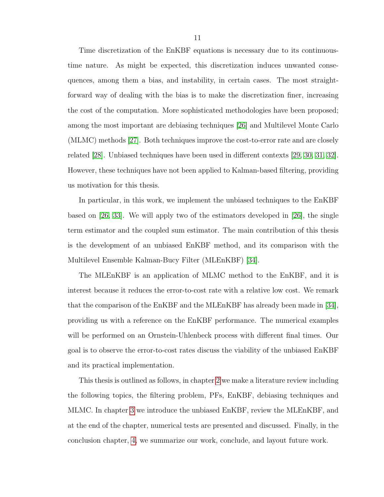Time discretization of the EnKBF equations is necessary due to its continuoustime nature. As might be expected, this discretization induces unwanted consequences, among them a bias, and instability, in certain cases. The most straightforward way of dealing with the bias is to make the discretization finer, increasing the cost of the computation. More sophisticated methodologies have been proposed; among the most important are debiasing techniques [\[26\]](#page-56-2) and Multilevel Monte Carlo (MLMC) methods [\[27\]](#page-56-3). Both techniques improve the cost-to-error rate and are closely related [\[28\]](#page-56-4). Unbiased techniques have been used in different contexts [\[29,](#page-56-5) [30,](#page-56-6) [31,](#page-56-7) [32\]](#page-56-8). However, these techniques have not been applied to Kalman-based filtering, providing us motivation for this thesis.

In particular, in this work, we implement the unbiased techniques to the EnKBF based on [\[26,](#page-56-2) [33\]](#page-56-9). We will apply two of the estimators developed in [\[26\]](#page-56-2), the single term estimator and the coupled sum estimator. The main contribution of this thesis is the development of an unbiased EnKBF method, and its comparison with the Multilevel Ensemble Kalman-Bucy Filter (MLEnKBF) [\[34\]](#page-56-10).

The MLEnKBF is an application of MLMC method to the EnKBF, and it is interest because it reduces the error-to-cost rate with a relative low cost. We remark that the comparison of the EnKBF and the MLEnKBF has already been made in [\[34\]](#page-56-10), providing us with a reference on the EnKBF performance. The numerical examples will be performed on an Ornstein-Uhlenbeck process with different final times. Our goal is to observe the error-to-cost rates discuss the viability of the unbiased EnKBF and its practical implementation.

This thesis is outlined as follows, in chapter [2](#page-12-0) we make a literature review including the following topics, the filtering problem, PFs, EnKBF, debiasing techniques and MLMC. In chapter [3](#page-34-0) we introduce the unbiased EnKBF, review the MLEnKBF, and at the end of the chapter, numerical tests are presented and discussed. Finally, in the conclusion chapter, [4,](#page-52-0) we summarize our work, conclude, and layout future work.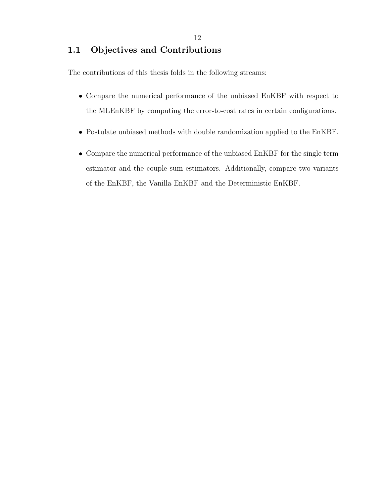## <span id="page-11-0"></span>1.1 Objectives and Contributions

The contributions of this thesis folds in the following streams:

- Compare the numerical performance of the unbiased EnKBF with respect to the MLEnKBF by computing the error-to-cost rates in certain configurations.
- Postulate unbiased methods with double randomization applied to the EnKBF.
- Compare the numerical performance of the unbiased EnKBF for the single term estimator and the couple sum estimators. Additionally, compare two variants of the EnKBF, the Vanilla EnKBF and the Deterministic EnKBF.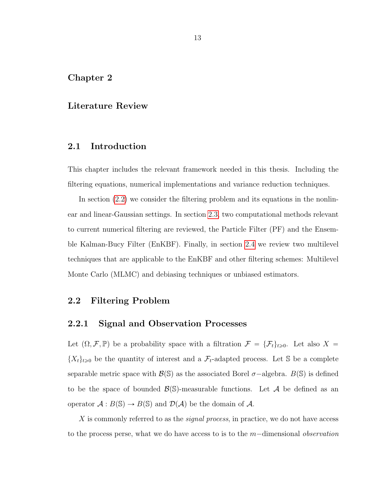## <span id="page-12-0"></span>Chapter 2

## Literature Review

## <span id="page-12-1"></span>2.1 Introduction

This chapter includes the relevant framework needed in this thesis. Including the filtering equations, numerical implementations and variance reduction techniques.

In section [\(2.2\)](#page-12-2) we consider the filtering problem and its equations in the nonlinear and linear-Gaussian settings. In section [2.3,](#page-17-0) two computational methods relevant to current numerical filtering are reviewed, the Particle Filter (PF) and the Ensemble Kalman-Bucy Filter (EnKBF). Finally, in section [2.4](#page-26-0) we review two multilevel techniques that are applicable to the EnKBF and other filtering schemes: Multilevel Monte Carlo (MLMC) and debiasing techniques or unbiased estimators.

## <span id="page-12-2"></span>2.2 Filtering Problem

#### <span id="page-12-3"></span>2.2.1 Signal and Observation Processes

Let  $(\Omega, \mathcal{F}, \mathbb{P})$  be a probability space with a filtration  $\mathcal{F} = {\{\mathcal{F}_t\}}_{t\geqslant0}$ . Let also X =  $\{X_t\}_{t\geq0}$  be the quantity of interest and a  $\mathcal{F}_t$ -adapted process. Let S be a complete separable metric space with  $\mathcal{B}(\mathbb{S})$  as the associated Borel  $\sigma$ -algebra.  $B(\mathbb{S})$  is defined to be the space of bounded  $\mathcal{B}(\mathbb{S})$ -measurable functions. Let A be defined as an operator  $A : B(\mathbb{S}) \to B(\mathbb{S})$  and  $\mathcal{D}(\mathcal{A})$  be the domain of  $\mathcal{A}$ .

X is commonly referred to as the *signal process*, in practice, we do not have access to the process perse, what we do have access to is to the  $m$ -dimensional *observation*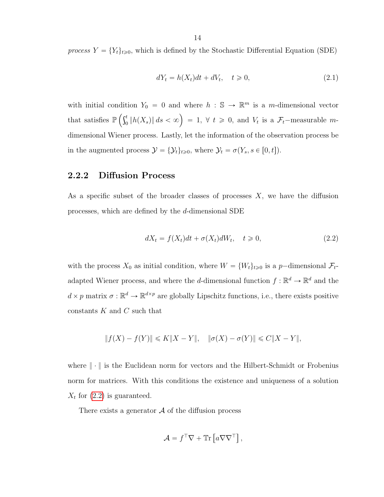process  $Y = \{Y_t\}_{t \geq 0}$ , which is defined by the Stochastic Differential Equation (SDE)

<span id="page-13-2"></span>
$$
dY_t = h(X_t)dt + dV_t, \quad t \ge 0,
$$
\n
$$
(2.1)
$$

with initial condition  $Y_0 = 0$  and where  $h : \mathbb{S} \to \mathbb{R}^m$  is a m-dimensional vector that satisfies  $\mathbb{P}\left(\int_0^t$  $\frac{1}{2} \int_0^t \|h(X_s)\| ds < \infty$  = 1,  $\forall t \ge 0$ , and  $V_t$  is a  $\mathcal{F}_t$ -measurable mdimensional Wiener process. Lastly, let the information of the observation process be in the augmented process  $\mathcal{Y} = {\mathcal{Y}_t}_{t\geq 0}$ , where  $\mathcal{Y}_t = \sigma(Y_s, s \in [0, t]).$ 

## <span id="page-13-0"></span>2.2.2 Diffusion Process

As a specific subset of the broader classes of processes  $X$ , we have the diffusion processes, which are defined by the d-dimensional SDE

<span id="page-13-1"></span>
$$
dX_t = f(X_t)dt + \sigma(X_t)dW_t, \quad t \ge 0,
$$
\n(2.2)

with the process  $X_0$  as initial condition, where  $W = \{W_t\}_{t \geq 0}$  is a p-dimensional  $\mathcal{F}_t$ adapted Wiener process, and where the *d*-dimensional function  $f : \mathbb{R}^d \to \mathbb{R}^d$  and the  $d \times p$  matrix  $\sigma : \mathbb{R}^d \to \mathbb{R}^{d \times p}$  are globally Lipschitz functions, i.e., there exists positive constants  $K$  and  $C$  such that

$$
||f(X) - f(Y)|| \le K||X - Y||, \quad ||\sigma(X) - \sigma(Y)|| \le C||X - Y||,
$$

where  $\|\cdot\|$  is the Euclidean norm for vectors and the Hilbert-Schmidt or Frobenius norm for matrices. With this conditions the existence and uniqueness of a solution  $X_t$  for  $(2.2)$  is guaranteed.

There exists a generator  $A$  of the diffusion process

$$
\mathcal{A} = f^{\top} \nabla + \mathbb{Tr} \left[ a \nabla \nabla^{\top} \right],
$$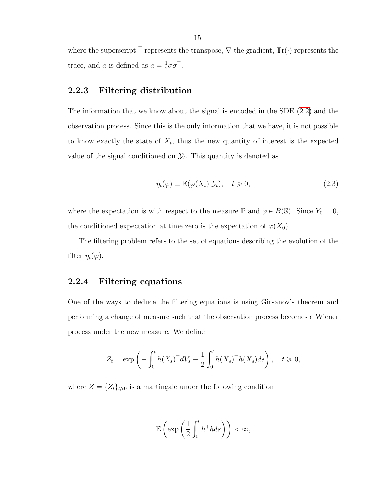where the superscript  $\top$  represents the transpose,  $\nabla$  the gradient,  $\text{Tr}(\cdot)$  represents the trace, and a is defined as  $a = \frac{1}{2}$  $\frac{1}{2}\sigma\sigma^{\top}$ .

## <span id="page-14-0"></span>2.2.3 Filtering distribution

The information that we know about the signal is encoded in the SDE [\(2.2\)](#page-13-1) and the observation process. Since this is the only information that we have, it is not possible to know exactly the state of  $X_t$ , thus the new quantity of interest is the expected value of the signal conditioned on  $\mathcal{Y}_t$ . This quantity is denoted as

<span id="page-14-2"></span>
$$
\eta_t(\varphi) \equiv \mathbb{E}(\varphi(X_t)|\mathcal{Y}_t), \quad t \ge 0,
$$
\n(2.3)

where the expectation is with respect to the measure  $\mathbb P$  and  $\varphi \in B(\mathbb S)$ . Since  $Y_0 = 0$ , the conditioned expectation at time zero is the expectation of  $\varphi(X_0)$ .

The filtering problem refers to the set of equations describing the evolution of the filter  $\eta_t(\varphi)$ .

## <span id="page-14-1"></span>2.2.4 Filtering equations

One of the ways to deduce the filtering equations is using Girsanov's theorem and performing a change of measure such that the observation process becomes a Wiener process under the new measure. We define

$$
Z_t = \exp\left(-\int_0^t h(X_s)^\top dV_s - \frac{1}{2} \int_0^t h(X_s)^\top h(X_s) ds\right), \quad t \ge 0,
$$

where  $Z = \{Z_t\}_{t\geq 0}$  is a martingale under the following condition

$$
\mathbb{E}\left(\exp\left(\frac{1}{2}\int_0^t h^\top h ds\right)\right) < \infty,
$$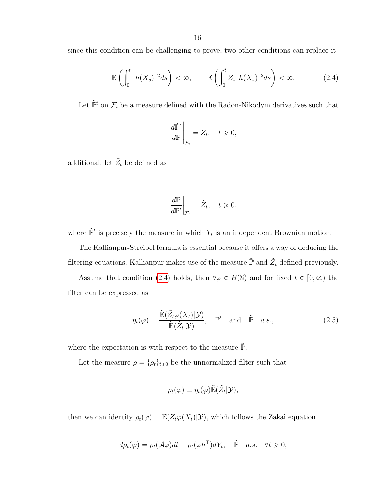since this condition can be challenging to prove, two other conditions can replace it

$$
\mathbb{E}\left(\int_0^t \|h(X_s)\|^2 ds\right) < \infty, \qquad \mathbb{E}\left(\int_0^t Z_s \|h(X_s)\|^2 ds\right) < \infty. \tag{2.4}
$$

Let  $\tilde{\mathbb{P}}^t$  on  $\mathcal{F}_t$  be a measure defined with the Radon-Nikodym derivatives such that

<span id="page-15-0"></span>
$$
\left. \frac{d\tilde{\mathbb{P}}^t}{d\mathbb{P}} \right|_{\mathcal{F}_t} = Z_t, \quad t \geq 0,
$$

additional, let  $\tilde{Z}_t$  be defined as

$$
\left. \frac{d\mathbb{P}}{d\tilde{\mathbb{P}}^t} \right|_{\mathcal{F}_t} = \tilde{Z}_t, \quad t \geq 0.
$$

where  $\tilde{\mathbb{P}}^t$  is precisely the measure in which  $Y_t$  is an independent Brownian motion.

The Kallianpur-Streibel formula is essential because it offers a way of deducing the filtering equations; Kallianpur makes use of the measure  $\tilde{\mathbb{P}}$  and  $\tilde{Z}_t$  defined previously.

Assume that condition [\(2.4\)](#page-15-0) holds, then  $\forall \varphi \in B(\mathbb{S})$  and for fixed  $t \in [0, \infty)$  the filter can be expressed as

$$
\eta_t(\varphi) = \frac{\tilde{\mathbb{E}}(\tilde{Z}_t \varphi(X_t)|\mathcal{Y})}{\tilde{\mathbb{E}}(\tilde{Z}_t|\mathcal{Y})}, \quad \mathbb{P}^t \quad \text{and} \quad \tilde{\mathbb{P}} \quad a.s., \tag{2.5}
$$

where the expectation is with respect to the measure  $\tilde{\mathbb{P}}$ .

Let the measure  $\rho = {\rho_t}_{t\geq 0}$  be the unnormalized filter such that

$$
\rho_t(\varphi) \equiv \eta_t(\varphi) \tilde{\mathbb{E}}(\tilde{Z}_t | \mathcal{Y}),
$$

then we can identify  $\rho_t(\varphi) = \mathbb{E}(\tilde{Z}_t \varphi(X_t)|\mathcal{Y})$ , which follows the Zakai equation

$$
d\rho_t(\varphi) = \rho_t(\mathcal{A}\varphi)dt + \rho_t(\varphi h^{\top})dY_t, \quad \tilde{\mathbb{P}} \quad a.s. \quad \forall t \geq 0,
$$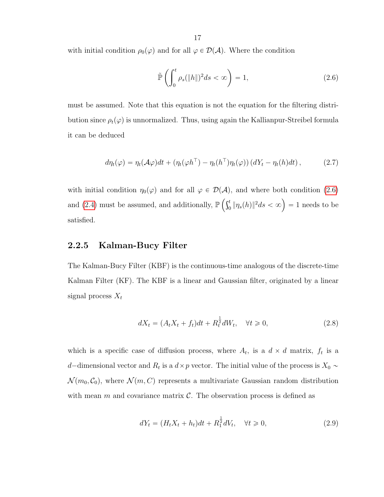with initial condition  $\rho_0(\varphi)$  and for all  $\varphi \in \mathcal{D}(\mathcal{A})$ . Where the condition

<span id="page-16-1"></span>
$$
\tilde{\mathbb{P}}\left(\int_0^t \rho_s(\|h\|)^2 ds < \infty\right) = 1,\tag{2.6}
$$

must be assumed. Note that this equation is not the equation for the filtering distribution since  $\rho_t(\varphi)$  is unnormalized. Thus, using again the Kallianpur-Streibel formula it can be deduced

$$
d\eta_t(\varphi) = \eta_t(\mathcal{A}\varphi)dt + \left(\eta_t(\varphi h^\top) - \eta_t(h^\top)\eta_t(\varphi)\right)(dY_t - \eta_t(h)dt),\tag{2.7}
$$

with initial condition  $\eta_0(\varphi)$  and for all  $\varphi \in \mathcal{D}(\mathcal{A})$ , and where both condition [\(2.6\)](#page-16-1) and [\(2.4\)](#page-15-0) must be assumed, and additionally,  $\mathbb{P}(\mathcal{C})$  $\binom{t}{0}\|\eta_s(h)\|^2 ds<\infty\Big)=1\,\, \text{needs to be}$ satisfied.

#### <span id="page-16-0"></span>2.2.5 Kalman-Bucy Filter

The Kalman-Bucy Filter (KBF) is the continuous-time analogous of the discrete-time Kalman Filter (KF). The KBF is a linear and Gaussian filter, originated by a linear signal process  $X_t$ 

<span id="page-16-2"></span>
$$
dX_t = (A_t X_t + f_t)dt + R_t^{\frac{1}{2}} dW_t, \quad \forall t \ge 0,
$$
\n(2.8)

which is a specific case of diffusion process, where  $A_t$ , is a  $d \times d$  matrix,  $f_t$  is a d-dimensional vector and  $R_t$  is a  $d \times p$  vector. The initial value of the process is  $X_0 \sim$  $\mathcal{N}(m_0, \mathcal{C}_0)$ , where  $\mathcal{N}(m, C)$  represents a multivariate Gaussian random distribution with mean m and covariance matrix  $\mathcal{C}$ . The observation process is defined as

<span id="page-16-3"></span>
$$
dY_t = (H_t X_t + h_t)dt + R_1^{\frac{1}{2}} dV_t, \quad \forall t \ge 0,
$$
\n(2.9)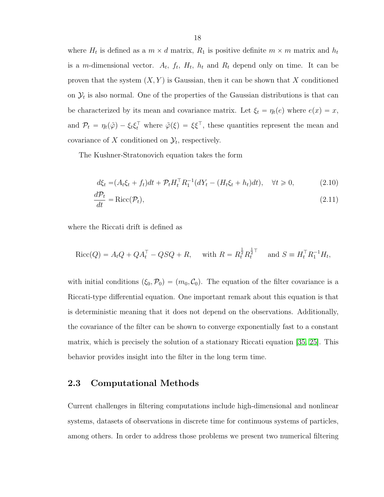where  $H_t$  is defined as a  $m \times d$  matrix,  $R_1$  is positive definite  $m \times m$  matrix and  $h_t$ is a m-dimensional vector.  $A_t$ ,  $f_t$ ,  $H_t$ ,  $h_t$  and  $R_t$  depend only on time. It can be proven that the system  $(X, Y)$  is Gaussian, then it can be shown that X conditioned on  $\mathcal{Y}_t$  is also normal. One of the properties of the Gaussian distributions is that can be characterized by its mean and covariance matrix. Let  $\xi_t = \eta_t(e)$  where  $e(x) = x$ , and  $\mathcal{P}_t = \eta_t(\tilde{\varphi}) - \xi_t \xi_t^{\top}$  where  $\tilde{\varphi}(\xi) = \xi \xi^{\top}$ , these quantities represent the mean and covariance of X conditioned on  $\mathcal{Y}_t$ , respectively.

The Kushner-Stratonovich equation takes the form

<span id="page-17-1"></span>
$$
d\xi_t = (A_t \xi_t + f_t)dt + \mathcal{P}_t H_t^\top R_1^{-1} (dY_t - (H_t \xi_t + h_t)dt), \quad \forall t \ge 0,
$$
\n(2.10)

$$
\frac{d\mathcal{P}_t}{dt} = \text{Ricc}(\mathcal{P}_t),\tag{2.11}
$$

where the Riccati drift is defined as

$$
Ricc(Q) = A_t Q + QA_t^{\top} - QSQ + R, \text{ with } R = R_t^{\frac{1}{2}} R_t^{\frac{1}{2}\top} \text{ and } S = H_t^{\top} R_1^{-1} H_t,
$$

with initial conditions  $(\xi_0, \mathcal{P}_0) = (m_0, \mathcal{C}_0)$ . The equation of the filter covariance is a Riccati-type differential equation. One important remark about this equation is that is deterministic meaning that it does not depend on the observations. Additionally, the covariance of the filter can be shown to converge exponentially fast to a constant matrix, which is precisely the solution of a stationary Riccati equation [\[35,](#page-56-11) [25\]](#page-56-1). This behavior provides insight into the filter in the long term time.

### <span id="page-17-0"></span>2.3 Computational Methods

Current challenges in filtering computations include high-dimensional and nonlinear systems, datasets of observations in discrete time for continuous systems of particles, among others. In order to address those problems we present two numerical filtering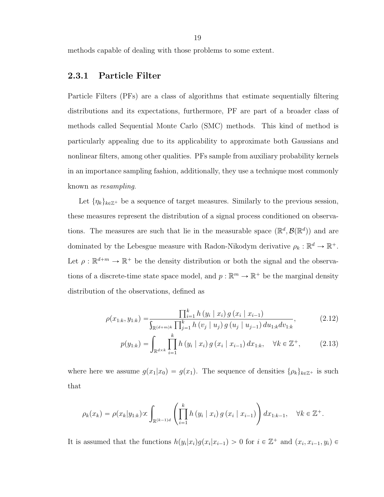19

methods capable of dealing with those problems to some extent.

## <span id="page-18-0"></span>2.3.1 Particle Filter

Particle Filters (PFs) are a class of algorithms that estimate sequentially filtering distributions and its expectations, furthermore, PF are part of a broader class of methods called Sequential Monte Carlo (SMC) methods. This kind of method is particularly appealing due to its applicability to approximate both Gaussians and nonlinear filters, among other qualities. PFs sample from auxiliary probability kernels in an importance sampling fashion, additionally, they use a technique most commonly known as resampling.

Let  $\{\eta_k\}_{k\in\mathbb{Z}^+}$  be a sequence of target measures. Similarly to the previous session, these measures represent the distribution of a signal process conditioned on observations. The measures are such that lie in the measurable space  $(\mathbb{R}^d, \mathcal{B}(\mathbb{R}^d))$  and are dominated by the Lebesgue measure with Radon-Nikodym derivative  $\rho_k : \mathbb{R}^d \to \mathbb{R}^+$ . Let  $\rho : \mathbb{R}^{d+m} \to \mathbb{R}^+$  be the density distribution or both the signal and the observations of a discrete-time state space model, and  $p : \mathbb{R}^m \to \mathbb{R}^+$  be the marginal density distribution of the observations, defined as

$$
\rho(x_{1:k}, y_{1:k}) = \frac{\prod_{i=1}^{k} h(y_i | x_i) g(x_i | x_{i-1})}{\int_{\mathbb{R}^{(d+m)k}} \prod_{j=1}^{k} h(y_j | u_j) g(u_j | u_{j-1}) du_{1:k} dv_{1:k}},
$$
\n(2.12)

<span id="page-18-1"></span>
$$
p(y_{1:k}) = \int_{\mathbb{R}^{d \times k}} \prod_{i=1}^{k} h(y_i \mid x_i) g(x_i \mid x_{i-1}) dx_{1:k}, \quad \forall k \in \mathbb{Z}^+, \tag{2.13}
$$

where here we assume  $g(x_1|x_0) = g(x_1)$ . The sequence of densities  $\{\rho_k\}_{k\in\mathbb{Z}^+}$  is such that

$$
\rho_k(x_k) = \rho(x_k|y_{1:k}) \propto \int_{\mathbb{R}^{(k-1)d}} \left( \prod_{i=1}^k h(y_i | x_i) g(x_i | x_{i-1}) \right) dx_{1:k-1}, \quad \forall k \in \mathbb{Z}^+.
$$

It is assumed that the functions  $h(y_i|x_i)g(x_i|x_{i-1}) > 0$  for  $i \in \mathbb{Z}^+$  and  $(x_i, x_{i-1}, y_i) \in$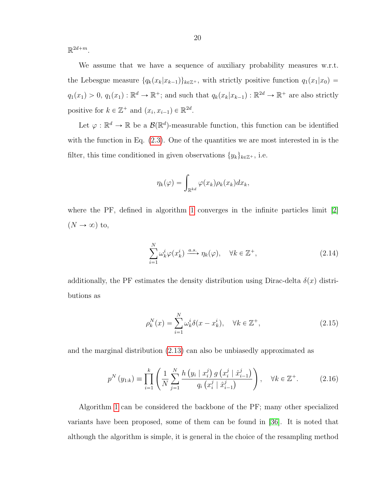$\mathbb{R}^{2d+m}$ .

We assume that we have a sequence of auxiliary probability measures w.r.t. the Lebesgue measure  $\{q_k(x_k|x_{k-1})\}_{k\in\mathbb{Z}^+}$ , with strictly positive function  $q_1(x_1|x_0)$  =  $q_1(x_1) > 0, q_1(x_1) : \mathbb{R}^d \to \mathbb{R}^+$ ; and such that  $q_k(x_k|x_{k-1}) : \mathbb{R}^{2d} \to \mathbb{R}^+$  are also strictly positive for  $k \in \mathbb{Z}^+$  and  $(x_i, x_{i-1}) \in \mathbb{R}^{2d}$ .

Let  $\varphi : \mathbb{R}^d \to \mathbb{R}$  be a  $\mathcal{B}(\mathbb{R}^d)$ -measurable function, this function can be identified with the function in Eq.  $(2.3)$ . One of the quantities we are most interested in is the filter, this time conditioned in given observations  $\{y_k\}_{k\in\mathbb{Z}^+}$ , i.e.

$$
\eta_k(\varphi) = \int_{\mathbb{R}^{kd}} \varphi(x_k) \rho_k(x_k) dx_k,
$$

where the PF, defined in algorithm [1](#page-20-0) converges in the infinite particles limit [\[2\]](#page-54-1)  $(N \rightarrow \infty)$  to,

<span id="page-19-0"></span>
$$
\sum_{i=1}^{N} \omega_k^i \varphi(x_k^i) \xrightarrow{a.s.} \eta_k(\varphi), \quad \forall k \in \mathbb{Z}^+,
$$
\n(2.14)

additionally, the PF estimates the density distribution using Dirac-delta  $\delta(x)$  distributions as

$$
\rho_k^N(x) = \sum_{i=1}^N \omega_k^i \delta(x - x_k^i), \quad \forall k \in \mathbb{Z}^+, \tag{2.15}
$$

and the marginal distribution [\(2.13\)](#page-18-1) can also be unbiasedly approximated as

$$
p^{N}(y_{1:k}) \equiv \prod_{i=1}^{k} \left( \frac{1}{N} \sum_{j=1}^{N} \frac{h\left(y_{i} \mid x_{i}^{j}\right) g\left(x_{i}^{j} \mid \hat{x}_{i-1}^{j}\right)}{q_{i}\left(x_{i}^{j} \mid \hat{x}_{i-1}^{j}\right)} \right), \quad \forall k \in \mathbb{Z}^{+}.
$$
 (2.16)

Algorithm [1](#page-20-0) can be considered the backbone of the PF; many other specialized variants have been proposed, some of them can be found in [\[36\]](#page-56-12). It is noted that although the algorithm is simple, it is general in the choice of the resampling method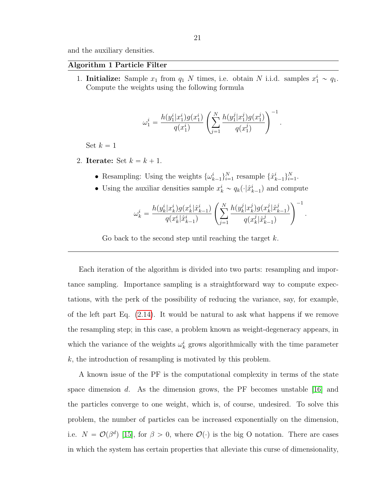and the auxiliary densities.

#### <span id="page-20-0"></span>Algorithm 1 Particle Filter

1. **Initialize:** Sample  $x_1$  from  $q_1$  N times, i.e. obtain N i.i.d. samples  $x_1^i \sim q_1$ . Compute the weights using the following formula

$$
\omega_1^i = \frac{h(y_1^i|x_1^i)g(x_1^i)}{q(x_1^i)}\left(\sum_{j=1}^N \frac{h(y_1^j|x_1^j)g(x_1^j)}{q(x_1^j)}\right)^{-1}.
$$

Set  $k = 1$ 

- 2. Iterate: Set  $k = k + 1$ .
	- Resampling: Using the weights  $\{\omega_{k-1}^i\}_{i=1}^N$  resample  $\{\hat{x}_{k-1}^i\}_{i=1}^N$ .
	- Using the auxiliar densities sample  $x_k^i \sim q_k(\cdot|\hat{x}_{k-1}^i)$  and compute

$$
\omega_k^i = \frac{h(y_k^i|x_k^i)g(x_k^i|\hat{x}_{k-1}^i)}{q(x_k^i|\hat{x}_{k-1}^i)}\left(\sum_{j=1}^N \frac{h(y_k^j|x_k^j)g(x_k^j|\hat{x}_{k-1}^j)}{q(x_k^j|\hat{x}_{k-1}^j)}\right)^{-1}.
$$

Go back to the second step until reaching the target  $k$ .

Each iteration of the algorithm is divided into two parts: resampling and importance sampling. Importance sampling is a straightforward way to compute expectations, with the perk of the possibility of reducing the variance, say, for example, of the left part Eq. [\(2.14\)](#page-19-0). It would be natural to ask what happens if we remove the resampling step; in this case, a problem known as weight-degeneracy appears, in which the variance of the weights  $\omega_k^i$  grows algorithmically with the time parameter  $k$ , the introduction of resampling is motivated by this problem.

A known issue of the PF is the computational complexity in terms of the state space dimension  $d$ . As the dimension grows, the PF becomes unstable [\[16\]](#page-55-3) and the particles converge to one weight, which is, of course, undesired. To solve this problem, the number of particles can be increased exponentially on the dimension, i.e.  $N = \mathcal{O}(\beta^d)$  [\[15\]](#page-55-2), for  $\beta > 0$ , where  $\mathcal{O}(\cdot)$  is the big O notation. There are cases in which the system has certain properties that alleviate this curse of dimensionality,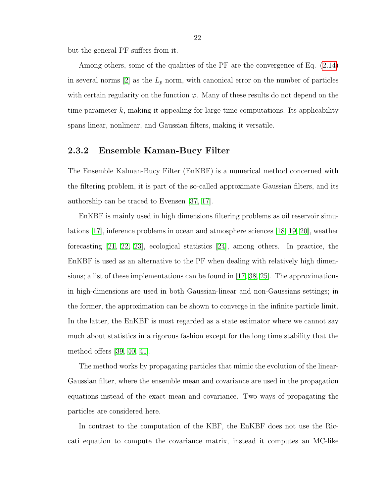but the general PF suffers from it.

Among others, some of the qualities of the PF are the convergence of Eq. [\(2.14\)](#page-19-0) in several norms [\[2\]](#page-54-1) as the  $L_p$  norm, with canonical error on the number of particles with certain regularity on the function  $\varphi$ . Many of these results do not depend on the time parameter  $k$ , making it appealing for large-time computations. Its applicability spans linear, nonlinear, and Gaussian filters, making it versatile.

#### <span id="page-21-0"></span>2.3.2 Ensemble Kaman-Bucy Filter

The Ensemble Kalman-Bucy Filter (EnKBF) is a numerical method concerned with the filtering problem, it is part of the so-called approximate Gaussian filters, and its authorship can be traced to Evensen [\[37,](#page-56-13) [17\]](#page-55-4).

EnKBF is mainly used in high dimensions filtering problems as oil reservoir simulations [\[17\]](#page-55-4), inference problems in ocean and atmosphere sciences [\[18,](#page-55-5) [19,](#page-55-6) [20\]](#page-55-7), weather forecasting [\[21,](#page-55-8) [22,](#page-55-9) [23\]](#page-55-10), ecological statistics [\[24\]](#page-56-0), among others. In practice, the EnKBF is used as an alternative to the PF when dealing with relatively high dimensions; a list of these implementations can be found in [\[17,](#page-55-4) [38,](#page-56-14) [25\]](#page-56-1). The approximations in high-dimensions are used in both Gaussian-linear and non-Gaussians settings; in the former, the approximation can be shown to converge in the infinite particle limit. In the latter, the EnKBF is most regarded as a state estimator where we cannot say much about statistics in a rigorous fashion except for the long time stability that the method offers [\[39,](#page-57-0) [40,](#page-57-1) [41\]](#page-57-2).

The method works by propagating particles that mimic the evolution of the linear-Gaussian filter, where the ensemble mean and covariance are used in the propagation equations instead of the exact mean and covariance. Two ways of propagating the particles are considered here.

In contrast to the computation of the KBF, the EnKBF does not use the Riccati equation to compute the covariance matrix, instead it computes an MC-like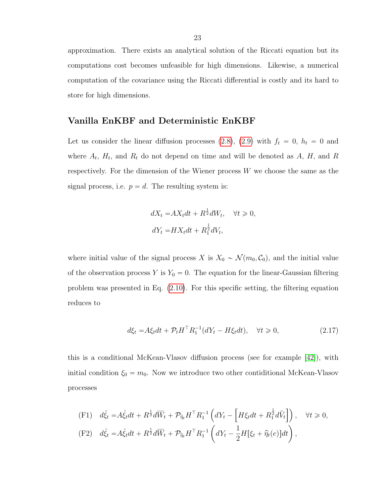approximation. There exists an analytical solution of the Riccati equation but its computations cost becomes unfeasible for high dimensions. Likewise, a numerical computation of the covariance using the Riccati differential is costly and its hard to store for high dimensions.

## Vanilla EnKBF and Deterministic EnKBF

Let us consider the linear diffusion processes [\(2.8\)](#page-16-2), [\(2.9\)](#page-16-3) with  $f_t = 0$ ,  $h_t = 0$  and where  $A_t$ ,  $H_t$ , and  $R_t$  do not depend on time and will be denoted as A, H, and R respectively. For the dimension of the Wiener process  $W$  we choose the same as the signal process, i.e.  $p = d$ . The resulting system is:

$$
dX_t = AX_t dt + R^{\frac{1}{2}} dW_t, \quad \forall t \ge 0,
$$
  

$$
dY_t = H X_t dt + R_1^{\frac{1}{2}} dV_t,
$$

where initial value of the signal process X is  $X_0 \sim \mathcal{N}(m_0, \mathcal{C}_0)$ , and the initial value of the observation process Y is  $Y_0 = 0$ . The equation for the linear-Gaussian filtering problem was presented in Eq. [\(2.10\)](#page-17-1). For this specific setting, the filtering equation reduces to

$$
d\xi_t = A\xi_t dt + \mathcal{P}_t H^\top R_1^{-1} (dY_t - H\xi_t dt), \quad \forall t \ge 0,
$$
\n(2.17)

this is a conditional McKean-Vlasov diffusion process (see for example [\[42\]](#page-57-3)), with initial condition  $\xi_0 = m_0$ . Now we introduce two other contiditional McKean-Vlasov processes

(F1) 
$$
d\hat{\xi}_t = A\hat{\xi}_t dt + R^{\frac{1}{2}} d\overline{W}_t + \mathcal{P}_{\hat{\eta}_t} H^{\top} R_1^{-1} \left( dY_t - \left[ H\xi_t dt + R_1^{\frac{1}{2}} d\overline{V}_t \right] \right), \quad \forall t \ge 0,
$$
  
\n(F2)  $d\hat{\xi}_t = A\hat{\xi}_t dt + R^{\frac{1}{2}} d\overline{W}_t + \mathcal{P}_{\hat{\eta}_t} H^{\top} R_1^{-1} \left( dY_t - \frac{1}{2} H[\xi_t + \hat{\eta}_t(e)] dt \right),$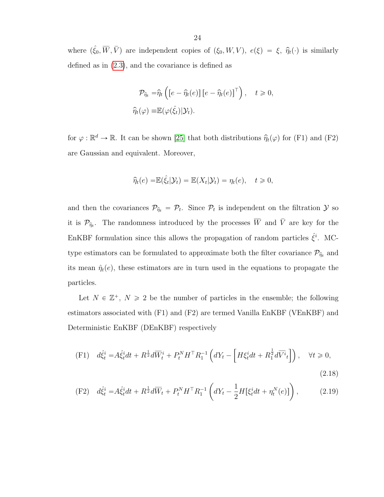where  $(\hat{\xi}_0, \overline{W}, \overline{V})$  are independent copies of  $(\xi_0, W, V)$ ,  $e(\xi) = \xi$ ,  $\hat{\eta}_t(\cdot)$  is similarly defined as in [\(2.3\)](#page-14-2), and the covariance is defined as

$$
\mathcal{P}_{\hat{\eta}_t} = \hat{\eta}_t \left( \left[ e - \hat{\eta}_t(e) \right] \left[ e - \hat{\eta}_t(e) \right]^\top \right), \quad t \geq 0,
$$
  

$$
\hat{\eta}_t(\varphi) \equiv \mathbb{E}(\varphi(\hat{\xi}_t)|\mathcal{Y}_t).
$$

for  $\varphi : \mathbb{R}^d \to \mathbb{R}$ . It can be shown [\[25\]](#page-56-1) that both distributions  $\hat{\eta}_t(\varphi)$  for (F1) and (F2) are Gaussian and equivalent. Moreover,

$$
\widehat{\eta}_t(e) = \mathbb{E}(\widehat{\xi}_t | \mathcal{Y}_t) = \mathbb{E}(X_t | \mathcal{Y}_t) = \eta_t(e), \quad t \geq 0,
$$

and then the covariances  $\mathcal{P}_{\hat{\eta}_t} = \mathcal{P}_t$ . Since  $\mathcal{P}_t$  is independent on the filtration  $\mathcal{Y}$  so it is  $\mathcal{P}_{\hat{\eta}_t}$ . The randomness introduced by the processes  $\overline{W}$  and  $\overline{V}$  are key for the EnKBF formulation since this allows the propagation of random particles  $\hat{\xi}^i$ . MCtype estimators can be formulated to approximate both the filter covariance  $\mathcal{P}_{\hat{\eta}_t}$  and its mean  $\hat{\eta}_t(e)$ , these estimators are in turn used in the equations to propagate the particles.

Let  $N \in \mathbb{Z}^+$ ,  $N \geq 2$  be the number of particles in the ensemble; the following estimators associated with  $(F1)$  and  $(F2)$  are termed Vanilla EnKBF (VEnKBF) and Deterministic EnKBF (DEnKBF) respectively

<span id="page-23-0"></span>
$$
\text{(F1)} \quad d\hat{\xi}^i_t = A\hat{\xi}^i_t dt + R^{\frac{1}{2}} d\overline{W}^i_t + P^N_t H^\top R_1^{-1} \left( dY_t - \left[ H\xi^i_t dt + R_1^{\frac{1}{2}} d\overline{V}^i_t \right] \right), \quad \forall t \ge 0,
$$
\n
$$
\tag{2.18}
$$

<span id="page-23-1"></span>(F2) 
$$
d\hat{\xi}_t^i = A\hat{\xi}_t^i dt + R^{\frac{1}{2}} d\overline{W}_t + P_t^N H^{\top} R_1^{-1} \left( dY_t - \frac{1}{2} H[\xi_t^i dt + \eta_t^N(e)] \right),
$$
 (2.19)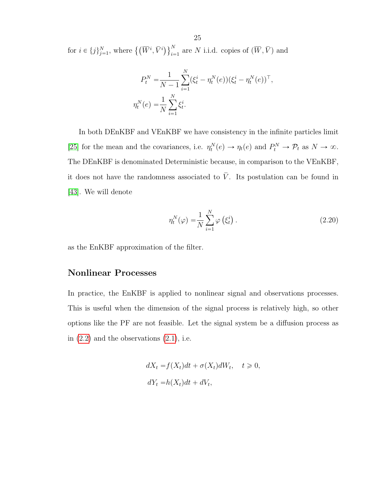for  $i \in \{j\}_{j=1}^N$ , where  $\{(\overline{W}^i, \overline{V}^i)\}_{i=1}^N$  $_{i=1}^N$  are N i.i.d. copies of  $(\overline{W}, \overline{V})$  and

$$
P_t^N = \frac{1}{N-1} \sum_{i=1}^N (\xi_t^i - \eta_t^N(e)) (\xi_t^i - \eta_t^N(e))^\top,
$$
  

$$
\eta_t^N(e) = \frac{1}{N} \sum_{i=1}^N \xi_t^i.
$$

In both DEnKBF and VEnKBF we have consistency in the infinite particles limit [\[25\]](#page-56-1) for the mean and the covariances, i.e.  $\eta_t^N(e) \to \eta_t(e)$  and  $P_t^N \to \mathcal{P}_t$  as  $N \to \infty$ . The DEnKBF is denominated Deterministic because, in comparison to the VEnKBF, it does not have the randomness associated to  $\overline{V}$ . Its postulation can be found in [\[43\]](#page-57-4). We will denote

<span id="page-24-0"></span>
$$
\eta_t^N(\varphi) = \frac{1}{N} \sum_{i=1}^N \varphi\left(\xi_t^i\right). \tag{2.20}
$$

as the EnKBF approximation of the filter.

## Nonlinear Processes

In practice, the EnKBF is applied to nonlinear signal and observations processes. This is useful when the dimension of the signal process is relatively high, so other options like the PF are not feasible. Let the signal system be a diffusion process as in  $(2.2)$  and the observations  $(2.1)$ , i.e.

$$
dX_t = f(X_t)dt + \sigma(X_t)dW_t, \quad t \ge 0,
$$
  

$$
dY_t = h(X_t)dt + dV_t,
$$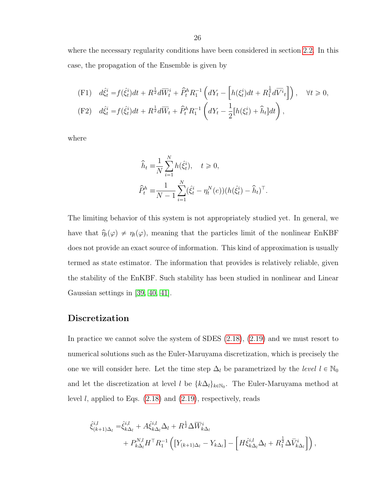where the necessary regularity conditions have been considered in section [2.2.](#page-12-2) In this case, the propagation of the Ensemble is given by

(F1) 
$$
d\hat{\xi}_t^i = f(\hat{\xi}_t^i)dt + R^{\frac{1}{2}}d\overline{W}_t^i + \hat{P}_t^h R_1^{-1} \left(dY_t - \left[h(\xi_t^i)dt + R_1^{\frac{1}{2}}d\overline{V}_t^i\right]\right), \quad \forall t \ge 0,
$$
  
\n(F2)  $d\hat{\xi}_t^i = f(\hat{\xi}_t^i)dt + R^{\frac{1}{2}}d\overline{W}_t + \hat{P}_t^h R_1^{-1} \left(dY_t - \frac{1}{2}\left[h(\xi_t^i) + \hat{h}_t\right]dt\right),$ 

where

$$
\hat{h}_t \equiv \frac{1}{N} \sum_{i=1}^N h(\hat{\xi}_t^i), \quad t \ge 0,
$$
  

$$
\hat{P}_t^h \equiv \frac{1}{N-1} \sum_{i=1}^N (\hat{\xi}_t^i - \eta_t^N(e)) (h(\hat{\xi}_t^i) - \hat{h}_t)^{\top}.
$$

The limiting behavior of this system is not appropriately studied yet. In general, we have that  $\hat{\eta}_t(\varphi) \neq \eta_t(\varphi)$ , meaning that the particles limit of the nonlinear EnKBF does not provide an exact source of information. This kind of approximation is usually termed as state estimator. The information that provides is relatively reliable, given the stability of the EnKBF. Such stability has been studied in nonlinear and Linear Gaussian settings in [\[39,](#page-57-0) [40,](#page-57-1) [41\]](#page-57-2).

## Discretization

In practice we cannot solve the system of SDES [\(2.18\)](#page-23-0), [\(2.19\)](#page-23-1) and we must resort to numerical solutions such as the Euler-Maruyama discretization, which is precisely the one we will consider here. Let the time step  $\Delta_l$  be parametrized by the level  $l \in \mathbb{N}_0$ and let the discretization at level l be  $\{k\Delta_l\}_{k\in\mathbb{N}_0}$ . The Euler-Maruyama method at level *l*, applied to Eqs.  $(2.18)$  and  $(2.19)$ , respectively, reads

$$
\hat{\xi}_{(k+1)\Delta_l}^{i,l} = \hat{\xi}_{k\Delta_l}^{i,l} + A \hat{\xi}_{k\Delta_l}^{i,l} \Delta_l + R^{\frac{1}{2}} \Delta \overline{W}_{k\Delta_l}^i
$$
  
+  $P_{k\Delta_l}^{N,l} H^{\top} R_1^{-1} \left( \left[ Y_{(k+1)\Delta_l} - Y_{k\Delta_l} \right] - \left[ H \hat{\xi}_{k\Delta_l}^{i,l} \Delta_l + R_1^{\frac{1}{2}} \Delta \overline{V}_{k\Delta_l}^i \right] \right),$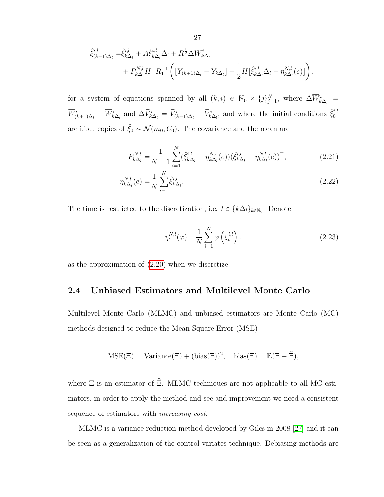$$
\hat{\xi}_{(k+1)\Delta_l}^{i,l} = \hat{\xi}_{k\Delta_l}^{i,l} + A \hat{\xi}_{k\Delta_l}^{i,l} \Delta_l + R^{\frac{1}{2}} \Delta \overline{W}_{k\Delta_l}^i \n+ P_{k\Delta_l}^{N,l} H^{\top} R_1^{-1} \left( \left[ Y_{(k+1)\Delta_l} - Y_{k\Delta_l} \right] - \frac{1}{2} H \left[ \hat{\xi}_{k\Delta_l}^{i,l} \Delta_l + \eta_{k\Delta_l}^{N,l}(e) \right] \right),
$$

for a system of equations spanned by all  $(k, i) \in \mathbb{N}_0 \times \{j\}_{j=1}^N$ , where  $\Delta \overline{W}_{k\Delta_l}^i$  $\overline{W}_{(k+1)\Delta_l}^i - \overline{W}_{k\Delta_l}^i$  and  $\Delta \overline{V}_{k\Delta_l}^i = \overline{V}_{(k+1)\Delta_l}^i - \overline{V}_{k\Delta_l}^i$ , and where the initial conditions  $\hat{\xi}_0^{i,l}$ 0 are i.i.d. copies of  $\hat{\xi}_0 \sim \mathcal{N}(m_0, C_0)$ . The covariance and the mean are

$$
P_{k\Delta_l}^{N,l} = \frac{1}{N-1} \sum_{i=1}^{N} (\hat{\xi}_{k\Delta_l}^{i,l} - \eta_{k\Delta_l}^{N,l}(e)) (\hat{\xi}_{k\Delta_l}^{i,l} - \eta_{k\Delta_l}^{N,l}(e))^{\top},
$$
\n(2.21)

$$
\eta_{k\Delta_l}^{N,l}(e) = \frac{1}{N} \sum_{i=1}^N \hat{\xi}_{k\Delta_l}^{i,l}.
$$
\n(2.22)

The time is restricted to the discretization, i.e.  $t \in \{k\Delta_l\}_{k\in\mathbb{N}_0}$ . Denote

<span id="page-26-1"></span>
$$
\eta_t^{N,l}(\varphi) = \frac{1}{N} \sum_{i=1}^N \varphi\left(\xi_t^{i,l}\right). \tag{2.23}
$$

as the approximation of [\(2.20\)](#page-24-0) when we discretize.

## <span id="page-26-0"></span>2.4 Unbiased Estimators and Multilevel Monte Carlo

Multilevel Monte Carlo (MLMC) and unbiased estimators are Monte Carlo (MC) methods designed to reduce the Mean Square Error (MSE)

$$
MSE(\Xi) = \text{Variance}(\Xi) + (\text{bias}(\Xi))^2, \quad \text{bias}(\Xi) = \mathbb{E}(\Xi - \widehat{\Xi}),
$$

where  $\Xi$  is an estimator of  $\hat{\Xi}$ . MLMC techniques are not applicable to all MC estimators, in order to apply the method and see and improvement we need a consistent sequence of estimators with increasing cost.

MLMC is a variance reduction method developed by Giles in 2008 [\[27\]](#page-56-3) and it can be seen as a generalization of the control variates technique. Debiasing methods are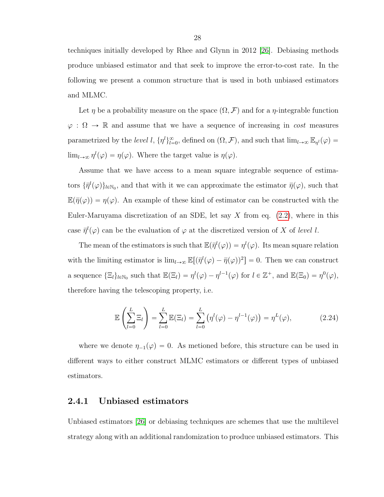techniques initially developed by Rhee and Glynn in 2012 [\[26\]](#page-56-2). Debiasing methods produce unbiased estimator and that seek to improve the error-to-cost rate. In the following we present a common structure that is used in both unbiased estimators and MLMC.

Let  $\eta$  be a probability measure on the space  $(\Omega, \mathcal{F})$  and for a  $\eta$ -integrable function  $\varphi : \Omega \to \mathbb{R}$  and assume that we have a sequence of increasing in cost measures parametrized by the *level* l,  $\{\eta^l\}_{l=0}^{\infty}$ , defined on  $(\Omega, \mathcal{F})$ , and such that  $\lim_{l\to\infty} \mathbb{E}_{\eta^l}(\varphi)$  =  $\lim_{l\to\infty} \eta^l(\varphi) = \eta(\varphi)$ . Where the target value is  $\eta(\varphi)$ .

Assume that we have access to a mean square integrable sequence of estimators  $\{\bar{\eta}^l(\varphi)\}_{l\in\mathbb{N}_0}$ , and that with it we can approximate the estimator  $\bar{\eta}(\varphi)$ , such that  $\mathbb{E}(\bar{\eta}(\varphi)) = \eta(\varphi)$ . An example of these kind of estimator can be constructed with the Euler-Maruyama discretization of an SDE, let say X from eq.  $(2.2)$ , where in this case  $\bar{\eta}^l(\varphi)$  can be the evaluation of  $\varphi$  at the discretized version of X of level l.

The mean of the estimators is such that  $\mathbb{E}(\bar{\eta}^l(\varphi)) = \eta^l(\varphi)$ . Its mean square relation with the limiting estimator is  $\lim_{l\to\infty} \mathbb{E}[(\bar{\eta}^l(\varphi)-\bar{\eta}(\varphi))^2]=0$ . Then we can construct a sequence  $\{\Xi_l\}_{l \in \mathbb{N}_0}$  such that  $\mathbb{E}(\Xi_l) = \eta^l(\varphi) - \eta^{l-1}(\varphi)$  for  $l \in \mathbb{Z}^+$ , and  $\mathbb{E}(\Xi_0) = \eta^0(\varphi)$ , therefore having the telescoping property, i.e.

<span id="page-27-1"></span>
$$
\mathbb{E}\left(\sum_{l=0}^{L}\Xi_{l}\right)=\sum_{l=0}^{L}\mathbb{E}(\Xi_{l})=\sum_{l=0}^{L}\left(\eta^{l}(\varphi)-\eta^{l-1}(\varphi)\right)=\eta^{L}(\varphi), \qquad (2.24)
$$

where we denote  $\eta_{-1}(\varphi) = 0$ . As metioned before, this structure can be used in different ways to either construct MLMC estimators or different types of unbiased estimators.

## <span id="page-27-0"></span>2.4.1 Unbiased estimators

Unbiased estimators [\[26\]](#page-56-2) or debiasing techniques are schemes that use the multilevel strategy along with an additional randomization to produce unbiased estimators. This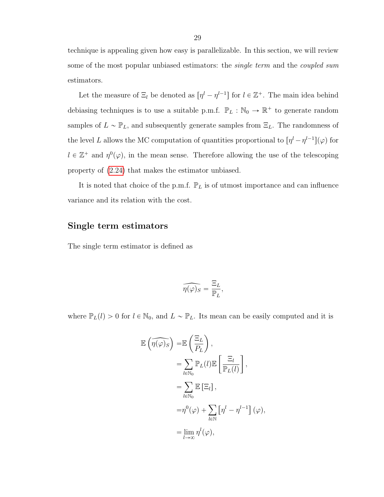technique is appealing given how easy is parallelizable. In this section, we will review some of the most popular unbiased estimators: the *single term* and the *coupled sum* estimators.

Let the measure of  $\Xi_l$  be denoted as  $[\eta^l - \eta^{l-1}]$  for  $l \in \mathbb{Z}^+$ . The main idea behind debiasing techniques is to use a suitable p.m.f.  $\mathbb{P}_L : \mathbb{N}_0 \to \mathbb{R}^+$  to generate random samples of  $L \sim \mathbb{P}_L$ , and subsequently generate samples from  $\Xi_L$ . The randomness of the level L allows the MC computation of quantities proportional to  $[\eta^l - \eta^{l-1}](\varphi)$  for  $l \in \mathbb{Z}^+$  and  $\eta^0(\varphi)$ , in the mean sense. Therefore allowing the use of the telescoping property of [\(2.24\)](#page-27-1) that makes the estimator unbiased.

It is noted that choice of the p.m.f.  $\mathbb{P}_L$  is of utmost importance and can influence variance and its relation with the cost.

### Single term estimators

The single term estimator is defined as

$$
\widehat{\eta(\varphi)_S} = \frac{\Xi_L}{\mathbb{P}_L},
$$

where  $\mathbb{P}_L(l) > 0$  for  $l \in \mathbb{N}_0$ , and  $L \sim \mathbb{P}_L$ . Its mean can be easily computed and it is

$$
\mathbb{E}(\widehat{\eta(\varphi)}s) = \mathbb{E}(\frac{\Xi_L}{P_L}),
$$
  
\n
$$
= \sum_{l \in \mathbb{N}_0} \mathbb{P}_L(l) \mathbb{E}[\frac{\Xi_l}{\mathbb{P}_L(l)}],
$$
  
\n
$$
= \sum_{l \in \mathbb{N}_0} \mathbb{E}[\Xi_l],
$$
  
\n
$$
= \eta^0(\varphi) + \sum_{l \in \mathbb{N}} [\eta^l - \eta^{l-1}] (\varphi),
$$
  
\n
$$
= \lim_{l \to \infty} \eta^l(\varphi),
$$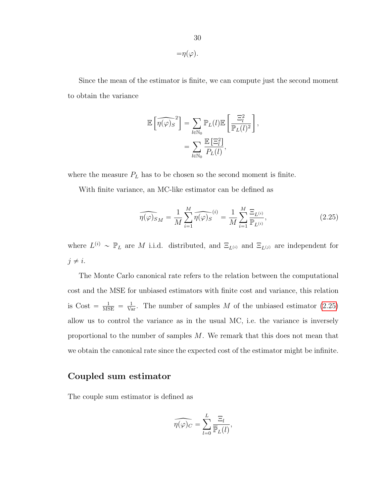Since the mean of the estimator is finite, we can compute just the second moment to obtain the variance

$$
\mathbb{E}\left[\widehat{\eta(\varphi)_S}^2\right] = \sum_{l \in \mathbb{N}_0} \mathbb{P}_L(l) \mathbb{E}\left[\frac{\Xi_l^2}{\mathbb{P}_L(l)^2}\right],
$$
  
= 
$$
\sum_{l \in \mathbb{N}_0} \frac{\mathbb{E}\left[\Xi_l^2\right]}{P_L(l)},
$$

where the measure  ${\cal P}_L$  has to be chosen so the second moment is finite.

With finite variance, an MC-like estimator can be defined as

<span id="page-29-0"></span>
$$
\widehat{\eta(\varphi)}_{S_M} = \frac{1}{M} \sum_{i=1}^M \widehat{\eta(\varphi)}_S^{(i)} = \frac{1}{M} \sum_{i=1}^M \frac{\Xi_{L^{(i)}}}{\mathbb{P}_{L^{(i)}}},\tag{2.25}
$$

where  $L^{(i)} \sim \mathbb{P}_L$  are M i.i.d. distributed, and  $\Xi_{L^{(i)}}$  and  $\Xi_{L^{(j)}}$  are independent for  $j \neq i$ .

The Monte Carlo canonical rate refers to the relation between the computational cost and the MSE for unbiased estimators with finite cost and variance, this relation is Cost  $=$   $\frac{1}{\text{MSE}} = \frac{1}{\text{Var}}$ . The number of samples M of the unbiased estimator [\(2.25\)](#page-29-0) allow us to control the variance as in the usual MC, i.e. the variance is inversely proportional to the number of samples M. We remark that this does not mean that we obtain the canonical rate since the expected cost of the estimator might be infinite.

## Coupled sum estimator

The couple sum estimator is defined as

$$
\widehat{\eta(\varphi)_C} = \sum_{l=0}^L \frac{\Xi_l}{\overline{\mathbb{P}}_L(l)},
$$

 $=\eta(\varphi).$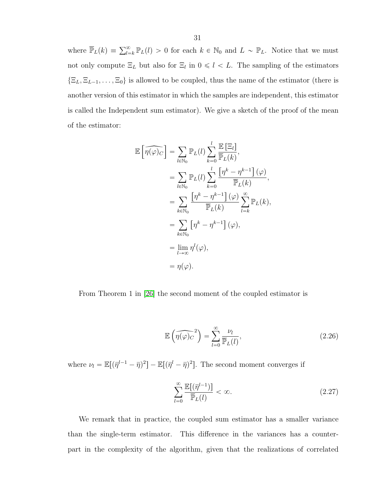where  $\overline{\mathbb{P}}_L(k) = \sum_{l=k}^{\infty} \mathbb{P}_L(l) > 0$  for each  $k \in \mathbb{N}_0$  and  $L \sim \mathbb{P}_L$ . Notice that we must not only compute  $\Xi_L$  but also for  $\Xi_l$  in  $0 \leq l \leq L$ . The sampling of the estimators  $\{\Xi_L, \Xi_{L-1}, \ldots, \Xi_0\}$  is allowed to be coupled, thus the name of the estimator (there is another version of this estimator in which the samples are independent, this estimator is called the Independent sum estimator). We give a sketch of the proof of the mean of the estimator:

$$
\mathbb{E}\left[\widehat{\eta(\varphi)_C}\right] = \sum_{l \in \mathbb{N}_0} \mathbb{P}_L(l) \sum_{k=0}^l \frac{\mathbb{E}\left[\Xi_l\right]}{\overline{\mathbb{P}}_L(k)},
$$
  
\n
$$
= \sum_{l \in \mathbb{N}_0} \mathbb{P}_L(l) \sum_{k=0}^l \frac{\left[\eta^k - \eta^{k-1}\right](\varphi)}{\overline{\mathbb{P}}_L(k)},
$$
  
\n
$$
= \sum_{k \in \mathbb{N}_0} \frac{\left[\eta^k - \eta^{k-1}\right](\varphi)}{\overline{\mathbb{P}}_L(k)} \sum_{l=k}^{\infty} \mathbb{P}_L(k),
$$
  
\n
$$
= \sum_{k \in \mathbb{N}_0} \left[\eta^k - \eta^{k-1}\right](\varphi),
$$
  
\n
$$
= \lim_{l \to \infty} \eta^l(\varphi),
$$
  
\n
$$
= \eta(\varphi).
$$

From Theorem 1 in [\[26\]](#page-56-2) the second moment of the coupled estimator is

$$
\mathbb{E}\left(\widehat{\eta(\varphi)_C}^2\right) = \sum_{l=0}^{\infty} \frac{\nu_l}{\overline{\mathbb{P}}_L(l)},\tag{2.26}
$$

where  $\nu_l = \mathbb{E}[(\bar{\eta}^{l-1} - \bar{\eta})^2] - \mathbb{E}[(\bar{\eta}^{l} - \bar{\eta})^2]$ . The second moment converges if

$$
\sum_{l=0}^{\infty} \frac{\mathbb{E}[(\overline{\eta}^{l-1})]}{\overline{\mathbb{P}}_L(l)} < \infty. \tag{2.27}
$$

We remark that in practice, the coupled sum estimator has a smaller variance than the single-term estimator. This difference in the variances has a counterpart in the complexity of the algorithm, given that the realizations of correlated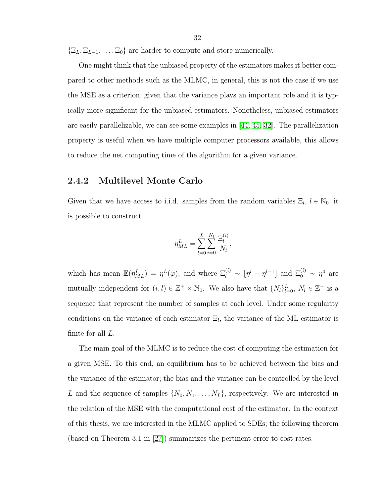$\{\Xi_L, \Xi_{L-1}, \ldots, \Xi_0\}$  are harder to compute and store numerically.

One might think that the unbiased property of the estimators makes it better compared to other methods such as the MLMC, in general, this is not the case if we use the MSE as a criterion, given that the variance plays an important role and it is typically more significant for the unbiased estimators. Nonetheless, unbiased estimators are easily parallelizable, we can see some examples in [\[44,](#page-57-5) [45,](#page-57-6) [32\]](#page-56-8). The parallelization property is useful when we have multiple computer processors available, this allows to reduce the net computing time of the algorithm for a given variance.

## <span id="page-31-0"></span>2.4.2 Multilevel Monte Carlo

Given that we have access to i.i.d. samples from the random variables  $\Xi_l$ ,  $l \in \mathbb{N}_0$ , it is possible to construct

$$
\eta^L_{ML} = \sum_{l=0}^L \sum_{i=0}^{N_l} \frac{\Xi_l^{(i)}}{N_l},
$$

which has mean  $\mathbb{E}(\eta_{ML}^L) = \eta^L(\varphi)$ , and where  $\Xi_l^{(i)} \sim [\eta^l - \eta^{l-1}]$  and  $\Xi_0^{(i)} \sim \eta^0$  are mutually independent for  $(i, l) \in \mathbb{Z}^+ \times \mathbb{N}_0$ . We also have that  $\{N_l\}_{l=0}^L$ ,  $N_l \in \mathbb{Z}^+$  is a sequence that represent the number of samples at each level. Under some regularity conditions on the variance of each estimator  $\Xi_l$ , the variance of the ML estimator is finite for all  $L$ .

The main goal of the MLMC is to reduce the cost of computing the estimation for a given MSE. To this end, an equilibrium has to be achieved between the bias and the variance of the estimator; the bias and the variance can be controlled by the level L and the sequence of samples  $\{N_0, N_1, \ldots, N_L\}$ , respectively. We are interested in the relation of the MSE with the computational cost of the estimator. In the context of this thesis, we are interested in the MLMC applied to SDEs; the following theorem (based on Theorem 3.1 in [\[27\]](#page-56-3)) summarizes the pertinent error-to-cost rates.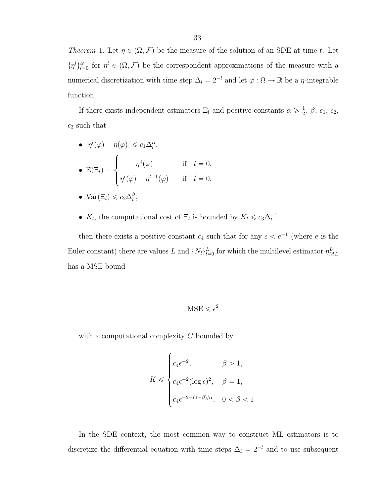Theorem 1. Let  $\eta \in (\Omega, \mathcal{F})$  be the measure of the solution of an SDE at time t. Let  $\{\eta^l\}_{l=0}^{\infty}$  for  $\eta^l \in (\Omega, \mathcal{F})$  be the correspondent approximations of the measure with a numerical discretization with time step  $\Delta_l = 2^{-l}$  and let  $\varphi : \Omega \to \mathbb{R}$  be a  $\eta$ -integrable function.

If there exists independent estimators  $\Xi_l$  and positive constants  $\alpha \geqslant \frac{1}{2}$  $\frac{1}{2}$ ,  $\beta$ ,  $c_1$ ,  $c_2$ ,  $c_3$  such that

• 
$$
|\eta^{l}(\varphi) - \eta(\varphi)| \leq c_1 \Delta_l^{\alpha},
$$
  
\n•  $\mathbb{E}(\Xi_l) = \begin{cases} \eta^{0}(\varphi) & \text{if } l = 0, \\ \eta^{l}(\varphi) - \eta^{l-1}(\varphi) & \text{if } l = 0. \end{cases}$ 

• 
$$
Var(\Xi_l) \leq c_2 \Delta_l^{\beta}
$$
,

•  $K_l$ , the computational cost of  $\Xi_l$  is bounded by  $K_l \leq c_3 \Delta_l^{-1}$ .

then there exists a positive constant  $c_4$  such that for any  $\epsilon < e^{-1}$  (where e is the Euler constant) there are values L and  $\{N_l\}_{l=0}^L$  for which the multilevel estimator  $\eta_{ML}^L$ has a MSE bound

$$
MSE \leqslant \epsilon^2
$$

with a computational complexity  $C$  bounded by

$$
K \leqslant \begin{cases} c_4 \epsilon^{-2}, & \beta > 1, \\ c_4 \epsilon^{-2} (\log \epsilon)^2, & \beta = 1, \\ c_4 \epsilon^{-2 - (1 - \beta)/\alpha}, & 0 < \beta < 1. \end{cases}
$$

In the SDE context, the most common way to construct ML estimators is to discretize the differential equation with time steps  $\Delta_l = 2^{-l}$  and to use subsequent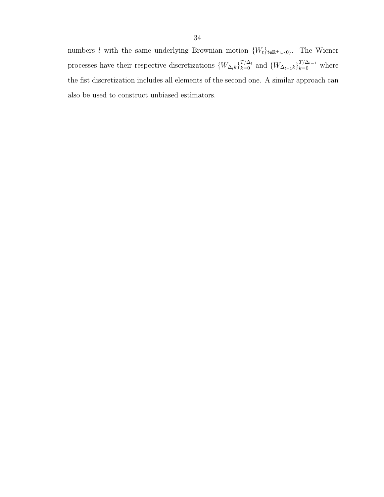34

also be used to construct unbiased estimators.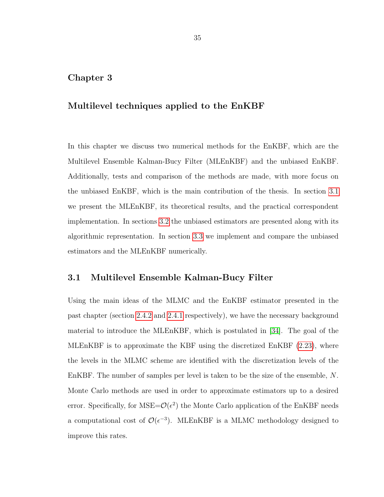## <span id="page-34-0"></span>Chapter 3

## Multilevel techniques applied to the EnKBF

In this chapter we discuss two numerical methods for the EnKBF, which are the Multilevel Ensemble Kalman-Bucy Filter (MLEnKBF) and the unbiased EnKBF. Additionally, tests and comparison of the methods are made, with more focus on the unbiased EnKBF, which is the main contribution of the thesis. In section [3.1](#page-34-1) we present the MLEnKBF, its theoretical results, and the practical correspondent implementation. In sections [3.2](#page-39-0) the unbiased estimators are presented along with its algorithmic representation. In section [3.3](#page-43-0) we implement and compare the unbiased estimators and the MLEnKBF numerically.

## <span id="page-34-1"></span>3.1 Multilevel Ensemble Kalman-Bucy Filter

Using the main ideas of the MLMC and the EnKBF estimator presented in the past chapter (section [2.4.2](#page-31-0) and [2.4.1](#page-27-0) respectively), we have the necessary background material to introduce the MLEnKBF, which is postulated in [\[34\]](#page-56-10). The goal of the MLEnKBF is to approximate the KBF using the discretized EnKBF [\(2.23\)](#page-26-1), where the levels in the MLMC scheme are identified with the discretization levels of the EnKBF. The number of samples per level is taken to be the size of the ensemble, N. Monte Carlo methods are used in order to approximate estimators up to a desired error. Specifically, for  $MSE = \mathcal{O}(\epsilon^2)$  the Monte Carlo application of the EnKBF needs a computational cost of  $\mathcal{O}(\epsilon^{-3})$ . MLEnKBF is a MLMC methodology designed to improve this rates.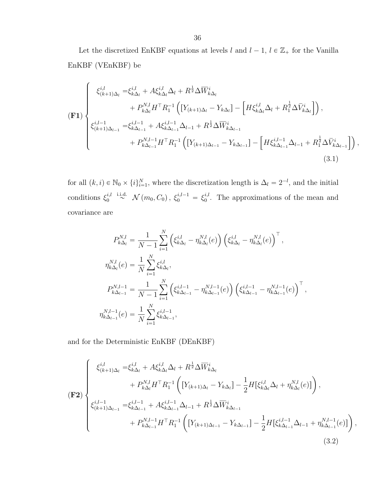Let the discretized EnKBF equations at levels  $l$  and  $l - 1,$   $l \in \mathbb{Z}_{+}$  for the Vanilla EnKBF (VEnKBF) be

$$
\begin{split}\n\mathbf{(F1)} \begin{cases}\n\xi_{(k+1)\Delta_{l}}^{i,l} &= \xi_{k\Delta_{l}}^{i,l} + A\xi_{k\Delta_{l}}^{i,l}\Delta_{l} + R^{\frac{1}{2}}\Delta \overline{W}_{k\Delta_{l}}^{i} \\
&+ P_{k\Delta_{l}}^{N,l}H^{\top}R_{1}^{-1}\left( \left[ Y_{(k+1)\Delta_{l}} - Y_{k\Delta_{l}} \right] - \left[ H\xi_{k\Delta_{l}}^{i,l}\Delta_{l} + R_{1}^{\frac{1}{2}}\Delta \overline{V}_{k\Delta_{l}}^{i} \right] \right), \\
\xi_{(k+1)\Delta_{l-1}}^{i,l-1} &= \xi_{k\Delta_{l-1}}^{i,l-1} + A\xi_{k\Delta_{l-1}}^{i,l-1}\Delta_{l-1} + R^{\frac{1}{2}}\Delta \overline{W}_{k\Delta_{l-1}}^{i} \\
&+ P_{k\Delta_{l-1}}^{N,l-1}H^{\top}R_{1}^{-1}\left( \left[ Y_{(k+1)\Delta_{l-1}} - Y_{k\Delta_{l-1}} \right] - \left[ H\xi_{k\Delta_{l-1}}^{i,l-1}\Delta_{l-1} + R_{1}^{\frac{1}{2}}\Delta \overline{V}_{k\Delta_{l-1}}^{i} \right] \right),\n\end{cases} \tag{3.1}\n\end{split}
$$

for all  $(k, i) \in \mathbb{N}_0 \times \{i\}_{i=1}^N$ , where the discretization length is  $\Delta_l = 2^{-l}$ , and the initial conditions  $\xi_0^{i,l}$  $\int_0^{i,l} \stackrel{\text{i.i.d.}}{\sim} \mathcal{N}(m_0, C_0), \; \xi_0^{i,l-1} = \xi_0^{i,l}$  $_{0}^{i,l}$ . The approximations of the mean and covariance are

<span id="page-35-0"></span>
$$
P_{k\Delta_{l}}^{N,l} = \frac{1}{N-1} \sum_{i=1}^{N} \left( \xi_{k\Delta_{l}}^{i,l} - \eta_{k\Delta_{l}}^{N,l}(e) \right) \left( \xi_{k\Delta_{l}}^{i,l} - \eta_{k\Delta_{l}}^{N,l}(e) \right)^{\top},
$$
  
\n
$$
\eta_{k\Delta_{l}}^{N,l}(e) = \frac{1}{N} \sum_{i=1}^{N} \xi_{k\Delta_{l}}^{i,l},
$$
  
\n
$$
P_{k\Delta_{l-1}}^{N,l-1} = \frac{1}{N-1} \sum_{i=1}^{N} \left( \xi_{k\Delta_{l-1}}^{i,l-1} - \eta_{k\Delta_{l-1}}^{N,l-1}(e) \right) \left( \xi_{k\Delta_{l-1}}^{i,l-1} - \eta_{k\Delta_{l-1}}^{N,l-1}(e) \right)^{\top},
$$
  
\n
$$
\eta_{k\Delta_{l-1}}^{N,l-1}(e) = \frac{1}{N} \sum_{i=1}^{N} \xi_{k\Delta_{l-1}}^{i,l-1},
$$

and for the Deterministic EnKBF (DEnKBF)

<span id="page-35-1"></span>
$$
\begin{pmatrix}\n\xi_{(k+1)\Delta_{l}}^{i,l} = \xi_{k\Delta_{l}}^{i,l} + A\xi_{k\Delta_{l}}^{i,l}\Delta_{l} + R^{\frac{1}{2}}\Delta \overline{W}_{k\Delta_{l}}^{i} \\
+ P_{k\Delta_{l}}^{N,l}H^{\top}R_{1}^{-1} \left( \left[ Y_{(k+1)\Delta_{l}} - Y_{k\Delta_{l}} \right] - \frac{1}{2} H \left[ \xi_{k\Delta_{l}}^{i,l}\Delta_{l} + \eta_{k\Delta_{l}}^{N,l}(e) \right] \right), \\
\xi_{(k+1)\Delta_{l-1}}^{i,l-1} = \xi_{k\Delta_{l-1}}^{i,l-1} + A\xi_{k\Delta_{l-1}}^{i,l-1}\Delta_{l-1} + R^{\frac{1}{2}}\Delta \overline{W}_{k\Delta_{l-1}}^{i} \\
+ P_{k\Delta_{l-1}}^{N,l-1}H^{\top}R_{1}^{-1} \left( \left[ Y_{(k+1)\Delta_{l-1}} - Y_{k\Delta_{l-1}} \right] - \frac{1}{2} H \left[ \xi_{k\Delta_{l-1}}^{i,l-1}\Delta_{l-1} + \eta_{k\Delta_{l-1}}^{N,l-1}(e) \right] \right),\n\end{pmatrix} (3.2)
$$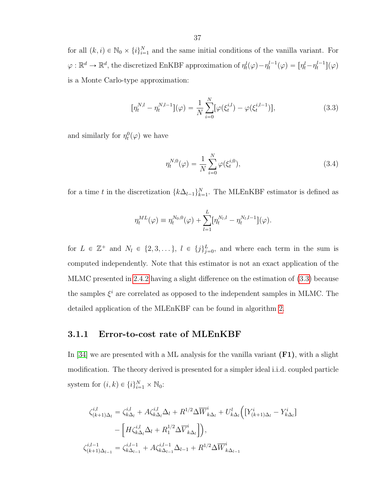for all  $(k, i) \in \mathbb{N}_0 \times \{i\}_{i=1}^N$  and the same initial conditions of the vanilla variant. For  $\varphi : \mathbb{R}^d \to \mathbb{R}^d$ , the discretized EnKBF approximation of  $\eta_t^l(\varphi) - \eta_t^{l-1}(\varphi) = [\eta_t^l - \eta_t^{l-1}](\varphi)$ is a Monte Carlo-type approximation:

$$
[\eta_t^{N,l} - \eta_t^{N,l-1}](\varphi) = \frac{1}{N} \sum_{i=0}^N [\varphi(\xi_t^{i,l}) - \varphi(\xi_t^{i,l-1})],\tag{3.3}
$$

and similarly for  $\eta_t^0(\varphi)$  we have

<span id="page-36-2"></span><span id="page-36-1"></span>
$$
\eta_t^{N,0}(\varphi) = \frac{1}{N} \sum_{i=0}^N \varphi(\xi_t^{i,0}),\tag{3.4}
$$

for a time t in the discretization  $\{k\Delta_{l-1}\}_{k=1}^N$ . The MLEnKBF estimator is defined as

$$
\eta_t^{ML}(\varphi) \equiv \eta_t^{N_0,0}(\varphi) + \sum_{l=1}^L [\eta_t^{N_l,l} - \eta_t^{N_l,l-1}](\varphi).
$$

for  $L \in \mathbb{Z}^+$  and  $N_l \in \{2, 3, \dots\}, l \in \{j\}_{j=0}^L$ , and where each term in the sum is computed independently. Note that this estimator is not an exact application of the MLMC presented in [2.4.2](#page-31-0) having a slight difference on the estimation of [\(3.3\)](#page-36-1) because the samples  $\xi^i$  are correlated as opposed to the independent samples in MLMC. The detailed application of the MLEnKBF can be found in algorithm [2.](#page-38-0)

#### <span id="page-36-0"></span>3.1.1 Error-to-cost rate of MLEnKBF

In [\[34\]](#page-56-10) we are presented with a ML analysis for the vanilla variant  $(F1)$ , with a slight modification. The theory derived is presented for a simpler ideal i.i.d. coupled particle system for  $(i, k) \in \{i\}_{i=1}^N \times \mathbb{N}_0$ :

$$
\zeta_{(k+1)\Delta_l}^{i,l} = \zeta_{k\Delta_l}^{i,l} + A \zeta_{k\Delta_l}^{i,l} \Delta_l + R^{1/2} \Delta \overline{W}_{k\Delta_l}^i + U_{k\Delta_l}^l \Big( \big[ Y_{(k+1)\Delta_l}^i - Y_{k\Delta_l}^i \big] - \Big[ H \zeta_{k\Delta_l}^{i,l} \Delta_l + R_1^{1/2} \Delta \overline{V}_{k\Delta_l}^i \Big] \Big),
$$
\n
$$
\zeta_{(k+1)\Delta_{l-1}}^{i,l-1} = \zeta_{k\Delta_{l-1}}^{i,l-1} + A \zeta_{k\Delta_{l-1}}^{i,l-1} \Delta_{l-1} + R^{1/2} \Delta \overline{W}_{k\Delta_{l-1}}^i
$$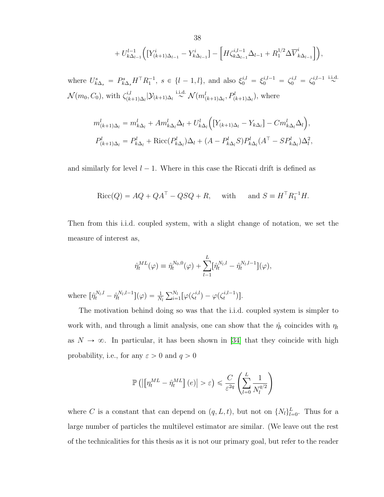+ 
$$
U_{k\Delta_{l-1}}^{l-1}
$$
  $\Big( [Y_{(k+1)\Delta_{l-1}}^i - Y_{k\Delta_{l-1}}^i] - \Big[ H \zeta_{k\Delta_{l-1}}^{i,l-1} \Delta_{l-1} + R_1^{1/2} \Delta \overline{V}_{k\Delta_{l-1}}^i \Big] \Big),$ 

where  $U_{k\Delta_s}^s = P_{k\Delta_s}^s H^\top R_1^{-1}, s \in \{l-1, l\}, \text{ and also } \xi_0^{i,l} = \xi_0^{i,l-1} = \zeta_0^{i,l} = \zeta_0^{i,l-1} \stackrel{\text{i.i.d.}}{\sim}$  $\mathcal{N}(m_0, C_0)$ , with  $\zeta_{(k)}^{i,l}$  $p_{(k+1)\Delta_l}^{i,l}|\mathcal{Y}_{(k+1)\Delta_l} \stackrel{\text{i.i.d.}}{\sim} \mathcal{N}(m_{(k+1)\Delta_l}^l, P_{(k+1)\Delta_l}^l)$ , where

$$
m_{(k+1)\Delta_l}^l = m_{k\Delta_l}^l + Am_{k\Delta_l}^l \Delta_l + U_{k\Delta_l}^l \Big( \big[ Y_{(k+1)\Delta_l} - Y_{k\Delta_l} \big] - C m_{k\Delta_l}^l \Delta_l \Big),
$$
  

$$
P_{(k+1)\Delta_l}^l = P_{k\Delta_l}^l + \text{Ricc}(P_{k\Delta_l}^l) \Delta_l + (A - P_{k\Delta_l}^l S) P_{k\Delta_l}^l (A^{\top} - S P_{k\Delta_l}^l) \Delta_l^2,
$$

and similarly for level  $l - 1$ . Where in this case the Riccati drift is defined as

$$
Ricc(Q) = AQ + QAT - QSQ + R, \text{ with } \text{ and } S \equiv HTR1-1H.
$$

Then from this i.i.d. coupled system, with a slight change of notation, we set the measure of interest as,

$$
\hat{\eta}_t^{ML}(\varphi) \equiv \hat{\eta}_t^{N_0,0}(\varphi) + \sum_{l-1}^L [\hat{\eta}_t^{N_l,l} - \hat{\eta}_t^{N_l,l-1}](\varphi),
$$

where  $\left[\hat{\eta}_t^{N_l,l} - \hat{\eta}_t^{N_l,l-1}\right](\varphi) = \frac{1}{N_l}$  $\sum_{l}$  $\sum\limits_{i=1}^{N_l} [\varphi(\zeta_t^{i,l}$  $t_i^{i,l}) - \varphi(\zeta_t^{i,l-1})].$ 

The motivation behind doing so was that the i.i.d. coupled system is simpler to work with, and through a limit analysis, one can show that the  $\hat{\eta}_t$  coincides with  $\eta_t$ as  $N \to \infty$ . In particular, it has been shown in [\[34\]](#page-56-10) that they coincide with high probability, i.e., for any  $\varepsilon > 0$  and  $q > 0$ 

$$
\mathbb{P}\left(\left|\left[\eta_t^{ML}-\hat{\eta}_t^{ML}\right](e)\right|>\varepsilon\right)\leqslant \frac{C}{\varepsilon^{2q}}\left(\sum_{l=0}^L\frac{1}{N_l^{q/2}}\right)
$$

where C is a constant that can depend on  $(q, L, t)$ , but not on  $\{N_l\}_{l=0}^L$ . Thus for a large number of particles the multilevel estimator are similar. (We leave out the rest of the technicalities for this thesis as it is not our primary goal, but refer to the reader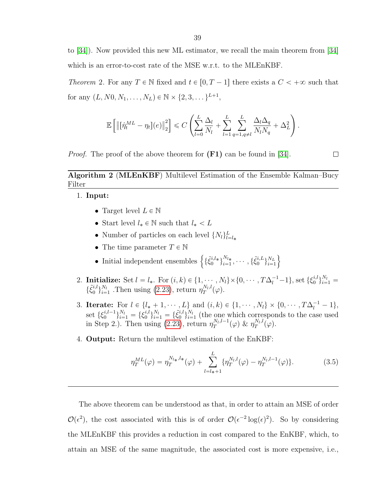to [\[34\]](#page-56-10)). Now provided this new ML estimator, we recall the main theorem from [\[34\]](#page-56-10) which is an error-to-cost rate of the MSE w.r.t. to the MLEnKBF.

<span id="page-38-1"></span>Theorem 2. For any  $T \in \mathbb{N}$  fixed and  $t \in [0, T - 1]$  there exists a  $C < +\infty$  such that for any  $(L, N0, N_1, \ldots, N_L) \in \mathbb{N} \times \{2, 3, \ldots\}^{L+1},$ 

$$
\mathbb{E}\left[\left\|\left[\hat{\eta}_{t}^{ML}-\eta_{t}\right](e)\right\|_{2}^{2}\right] \leqslant C\left(\sum_{l=0}^{L}\frac{\Delta_{l}}{N_{l}}+\sum_{l=1}^{L}\sum_{q=1,q\neq l}^{L}\frac{\Delta_{l}\Delta_{q}}{N_{l}N_{q}}+\Delta_{L}^{2}\right).
$$

*Proof.* The proof of the above theorem for  $(F1)$  can be found in [\[34\]](#page-56-10).

## <span id="page-38-0"></span>Algorithm 2 (MLEnKBF) Multilevel Estimation of the Ensemble Kalman–Bucy Filter

1. Input:

- Target level  $L \in \mathbb{N}$
- Start level  $l_* \in \mathbb{N}$  such that  $l_* < L$
- Number of particles on each level  $\{N_l\}_{l=l_*}^L$
- The time parameter  $T \in \mathbb{N}$
- Initial independent ensembles  $\left\{ \{\tilde{\xi}_0^{i,l*}\}_{i=1}^{N_{l*}} \right\}$  $\frac{N_{l_*}}{i=1},\cdots,\{\tilde{\xi}^{i,L}_0$  $\{ \begin{array}{c} i,L \ 0 \end{array} \}_{i=1}^{N_L}$  $i=1$
- 2. Initialize: Set  $l = l_*$ . For  $(i, k) \in \{1, \dots, N_l\} \times \{0, \dots, T\Delta_l^{-1} 1\}$ , set  $\{\xi_0^{i,l}$  $i, l$ <sub> $0$ </sub> $\}_{i=1}^{N_l}$  =  $\{\tilde{\xi}_0^{i,l}$  $\left\{ \begin{smallmatrix} i,l \ 0 \end{smallmatrix} \right\}^{N_l}_{i=1}$  $\frac{N_l}{i=1}$  . Then using [\(2.23\)](#page-26-1), return  $\eta_T^{N_l,l}$  $T^{N_l, l}(\varphi).$
- 3. **Iterate:** For  $l \in \{l_* + 1, \dots, L\}$  and  $(i, k) \in \{1, \dots, N_l\} \times \{0, \dots, T\Delta_l^{-1} 1\},$ set  $\{\xi_0^{i,l-1}\}_{i=1}^{N_l} = \{\xi_0^{i,l}$  $\{\tilde{\xi}_0^{i,l}\}_{i=1}^{N_l} = \{\tilde{\xi}_0^{i,l}$  $\{i,l\}_{i=1}^{N_l}$  $\frac{N_l}{i=1}$  (the one which corresponds to the case used in Step 2.). Then using  $(2.23)$ , return  $\eta_T^{N_l, l-1}$  $\int_T^{N_l, l-1} (\varphi) \; \& \; \eta_T^{N_l, l}$  $T^{N_l, l}(\varphi).$
- 4. Output: Return the multilevel estimation of the EnKBF:

$$
\eta_T^{ML}(\varphi) = \eta_T^{N_{l*},l*}(\varphi) + \sum_{l=l_{*}+1}^{L} \{ \eta_T^{N_l,l}(\varphi) - \eta_T^{N_l,l-1}(\varphi) \}.
$$
\n(3.5)

)

The above theorem can be understood as that, in order to attain an MSE of order  $\mathcal{O}(\epsilon^2)$ , the cost associated with this is of order  $\mathcal{O}(\epsilon^{-2} \log(\epsilon)^2)$ . So by considering the MLEnKBF this provides a reduction in cost compared to the EnKBF, which, to attain an MSE of the same magnitude, the associated cost is more expensive, i.e.,

 $\Box$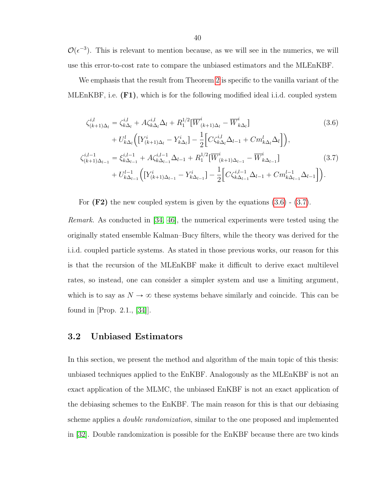$\mathcal{O}(\epsilon^{-3})$ . This is relevant to mention because, as we will see in the numerics, we will use this error-to-cost rate to compare the unbiased estimators and the MLEnKBF.

We emphasis that the result from Theorem [2](#page-38-1) is specific to the vanilla variant of the MLEnKBF, i.e. (F1), which is for the following modified ideal i.i.d. coupled system

<span id="page-39-2"></span><span id="page-39-1"></span>
$$
\zeta_{(k+1)\Delta_l}^{i,l} = \zeta_{k\Delta_l}^{i,l} + A\zeta_{k\Delta_l}^{i,l}\Delta_l + R_1^{1/2} [\overline{W}_{(k+1)\Delta_l}^i - \overline{W}_{k\Delta_l}^i] \qquad (3.6)
$$
\n
$$
+ U_{k\Delta_l}^l \Big( \big[ Y_{(k+1)\Delta_l}^i - Y_{k\Delta_l}^i \big] - \frac{1}{2} \Big[ C\zeta_{k\Delta_l}^{i,l}\Delta_{l-1} + Cm_{k\Delta_l}^l\Delta_l \Big] \Big),
$$
\n
$$
\zeta_{(k+1)\Delta_{l-1}}^{i,l-1} = \xi_{k\Delta_{l-1}}^{i,l-1} + A\zeta_{k\Delta_{l-1}}^{i,l-1}\Delta_{l-1} + R_1^{1/2} [\overline{W}_{(k+1)\Delta_{l-1}}^i - \overline{W}_{k\Delta_{l-1}}^i] \qquad (3.7)
$$
\n
$$
+ U_{k\Delta_{l-1}}^{l-1} \Big( \big[ Y_{(k+1)\Delta_{l-1}}^i - Y_{k\Delta_{l-1}}^i \big] - \frac{1}{2} \Big[ C\zeta_{k\Delta_{l-1}}^{i,l-1}\Delta_{l-1} + Cm_{k\Delta_{l-1}}^{l-1}\Delta_{l-1} \Big] \Big).
$$

For  $(F2)$  the new coupled system is given by the equations  $(3.6)$  -  $(3.7)$ .

Remark. As conducted in [\[34,](#page-56-10) [46\]](#page-57-7), the numerical experiments were tested using the originally stated ensemble Kalman–Bucy filters, while the theory was derived for the i.i.d. coupled particle systems. As stated in those previous works, our reason for this is that the recursion of the MLEnKBF make it difficult to derive exact multilevel rates, so instead, one can consider a simpler system and use a limiting argument, which is to say as  $N \to \infty$  these systems behave similarly and coincide. This can be found in [Prop. 2.1., [\[34\]](#page-56-10)].

#### <span id="page-39-0"></span>3.2 Unbiased Estimators

In this section, we present the method and algorithm of the main topic of this thesis: unbiased techniques applied to the EnKBF. Analogously as the MLEnKBF is not an exact application of the MLMC, the unbiased EnKBF is not an exact application of the debiasing schemes to the EnKBF. The main reason for this is that our debiasing scheme applies a double randomization, similar to the one proposed and implemented in [\[32\]](#page-56-8). Double randomization is possible for the EnKBF because there are two kinds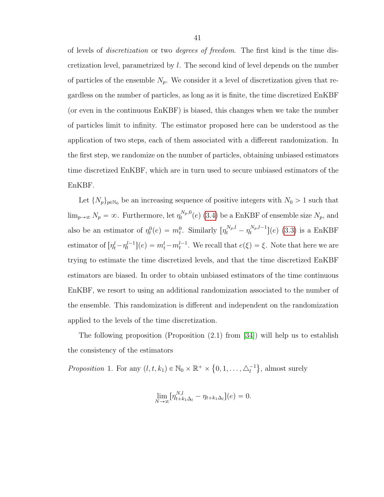of levels of discretization or two degrees of freedom. The first kind is the time discretization level, parametrized by l. The second kind of level depends on the number of particles of the ensemble  $N_p$ . We consider it a level of discretization given that regardless on the number of particles, as long as it is finite, the time discretized EnKBF (or even in the continuous EnKBF) is biased, this changes when we take the number of particles limit to infinity. The estimator proposed here can be understood as the application of two steps, each of them associated with a different randomization. In the first step, we randomize on the number of particles, obtaining unbiased estimators time discretized EnKBF, which are in turn used to secure unbiased estimators of the EnKBF.

Let  $\{N_p\}_{p\in\mathbb{N}_0}$  be an increasing sequence of positive integers with  $N_0 > 1$  such that  $\lim_{p\to\infty} N_p = \infty$ . Furthermore, let  $\eta_t^{N_p,0}$  $t_t^{N_p,0}(e)$  [\(3.4\)](#page-36-2) be a EnKBF of ensemble size  $N_p$ , and also be an estimator of  $\eta_t^0(e) = m_t^0$ . Similarly  $[\eta_t^{N_p,l} - \eta_t^{N_p,l-1}]$  $\binom{N_p, l-1}{t}$  (e) [\(3.3\)](#page-36-1) is a EnKBF estimator of  $[\eta_t^l - \eta_t^{l-1}](e) = m_t^l - m_t^{l-1}$ . We recall that  $e(\xi) = \xi$ . Note that here we are trying to estimate the time discretized levels, and that the time discretized EnKBF estimators are biased. In order to obtain unbiased estimators of the time continuous EnKBF, we resort to using an additional randomization associated to the number of the ensemble. This randomization is different and independent on the randomization applied to the levels of the time discretization.

The following proposition (Proposition  $(2.1)$  from [\[34\]](#page-56-10)) will help us to establish the consistency of the estimators

Proposition 1. For any  $(l, t, k_1) \in \mathbb{N}_0 \times \mathbb{R}^+$  × ␣  $0, 1, \ldots, \triangle_l^{-1}$ **(a)** , almost surely

$$
\lim_{N \to \infty} [\eta_{t+k_1\Delta_l}^{N,l} - \eta_{t+k_1\Delta_l}](e) = 0.
$$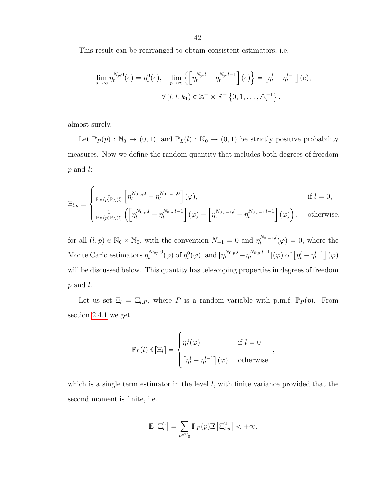This result can be rearranged to obtain consistent estimators, i.e.

$$
\lim_{p \to \infty} \eta_t^{N_p,0}(e) = \eta_t^0(e), \quad \lim_{p \to \infty} \left\{ \left[ \eta_t^{N_p,l} - \eta_t^{N_p,l-1} \right](e) \right\} = \left[ \eta_t^l - \eta_t^{l-1} \right](e),
$$
  

$$
\forall (l, t, k_1) \in \mathbb{Z}^+ \times \mathbb{R}^+ \left\{ 0, 1, \dots, \triangle_l^{-1} \right\}.
$$

almost surely.

Let  $\mathbb{P}_P(p) : \mathbb{N}_0 \to (0, 1)$ , and  $\mathbb{P}_L(l) : \mathbb{N}_0 \to (0, 1)$  be strictly positive probability measures. Now we define the random quantity that includes both degrees of freedom  $p$  and  $l$ :

$$
\Xi_{l,p} \equiv \begin{cases} \frac{1}{\mathbb{P}_P(p)\mathbb{P}_L(l)} \left[ \eta_t^{N_{0:p},0} - \eta_t^{N_{0:p-1},0} \right](\varphi), & \text{if } l = 0, \\ \frac{1}{\mathbb{P}_P(p)\mathbb{P}_L(l)} \left( \left[ \eta_t^{N_{0:p},l} - \eta_t^{N_{0:p},l-1} \right](\varphi) - \left[ \eta_t^{N_{0:p-1},l} - \eta_t^{N_{0:p-1},l-1} \right](\varphi) \right), & \text{otherwise.} \end{cases}
$$

for all  $(l, p) \in \mathbb{N}_0 \times \mathbb{N}_0$ , with the convention  $N_{-1} = 0$  and  $\eta_t^{N_{0:-1},l}(\varphi) = 0$ , where the Monte Carlo estimators  $\eta_t^{N_{0:p},0}$  $t^{N_{0:p},0}(\varphi)$  of  $\eta_t^0(\varphi)$ , and  $[\eta_t^{N_{0:p},l} - \eta_t^{N_{0:p},l-1}]$  $\left[\begin{matrix}N_{0:p},l-1\\t\end{matrix}\right](\varphi)$  of  $\left[\eta_t^l-\eta_t^{l-1}\right]$ ‰  $(\varphi)$ will be discussed below. This quantity has telescoping properties in degrees of freedom  $p$  and  $l$ .

Let us set  $\Xi_l = \Xi_{l,P}$ , where P is a random variable with p.m.f.  $\mathbb{P}_P(p)$ . From section [2.4.1](#page-27-0) we get

$$
\mathbb{P}_L(l)\mathbb{E}\left[\Xi_l\right] = \begin{cases} \eta_t^0(\varphi) & \text{if } l = 0\\ \left[\eta_t^l - \eta_t^{l-1}\right](\varphi) & \text{otherwise} \end{cases}
$$

,

which is a single term estimator in the level  $l$ , with finite variance provided that the second moment is finite, i.e.

$$
\mathbb{E}\left[\Xi_l^2\right] = \sum_{p \in \mathbb{N}_0} \mathbb{P}_P(p) \mathbb{E}\left[\Xi_{l,p}^2\right] < +\infty.
$$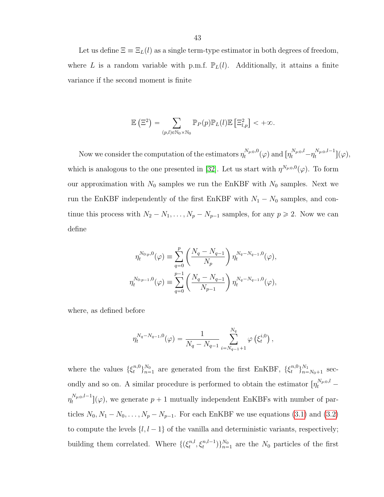Let us define  $\Xi \equiv \Xi_L(l)$  as a single term-type estimator in both degrees of freedom, where L is a random variable with p.m.f.  $\mathbb{P}_L(l)$ . Additionally, it attains a finite variance if the second moment is finite

$$
\mathbb{E}\left(\Xi^2\right) = \sum_{(p,l)\in\mathbb{N}_0\times\mathbb{N}_0} \mathbb{P}_P(p)\mathbb{P}_L(l)\mathbb{E}\left[\Xi^2_{l,p}\right] < +\infty.
$$

Now we consider the computation of the estimators  $\eta_t^{N_{p:0},0}$  $\int_t^{N_{p:0},0} (\varphi) \text{ and } [\eta_t^{N_{p:0},l} - \eta_t^{N_{p:0},l-1}]$  $\bigl[ \begin{smallmatrix} N_{p:0},t-1 \ t \end{smallmatrix} \bigr] (\varphi),$ which is analogous to the one presented in [\[32\]](#page-56-8). Let us start with  $\eta^{N_{p:0},0}(\varphi)$ . To form our approximation with  $N_0$  samples we run the EnKBF with  $N_0$  samples. Next we run the EnKBF independently of the first EnKBF with  $N_1 - N_0$  samples, and continue this process with  $N_2 - N_1, \ldots, N_p - N_{p-1}$  samples, for any  $p \ge 2$ . Now we can define

$$
\eta_t^{N_{0:p},0}(\varphi) \equiv \sum_{q=0}^p \left( \frac{N_q - N_{q-1}}{N_p} \right) \eta_t^{N_q - N_{q-1},0}(\varphi),
$$
  

$$
\eta_t^{N_{0:p-1},0}(\varphi) \equiv \sum_{q=0}^{p-1} \left( \frac{N_q - N_{q-1}}{N_{p-1}} \right) \eta_t^{N_q - N_{q-1},0}(\varphi),
$$

where, as defined before

$$
\eta_t^{N_q - N_{q-1},0}(\varphi) = \frac{1}{N_q - N_{q-1}} \sum_{i=N_{q-1}+1}^{N_q} \varphi\left(\xi_t^{i,0}\right),\,
$$

where the values  $\{\xi_t^{n,0}$  $\{n,0\}\}_{n=1}^{N_0}$  $\frac{N_0}{n=1}$  are generated from the first EnKBF,  $\{\xi_t^{n,0}\}$  $\{n,0\}_{n=1}^{N_1}$  $\sum_{n=N_0+1}^{N_1}$  secondly and so on. A similar procedure is performed to obtain the estimator  $\left[\eta_t^{N_{p,0},l}-\right]$  $\eta_t^{N_{p:0},l-1}$  $\mathbb{E}_{t}^{N_{p:0},t-1}$   $(\varphi)$ , we generate  $p+1$  mutually independent EnKBFs with number of particles  $N_0, N_1 - N_0, \ldots, N_p - N_{p-1}$ . For each EnKBF we use equations [\(3.1\)](#page-35-0) and [\(3.2\)](#page-35-1) to compute the levels  $\{l, l - 1\}$  of the vanilla and deterministic variants, respectively; building them correlated. Where  $\{(\xi_t^{n,l})\}$  $\{t^{n,l}, \xi_t^{n,l-1}\}_{n=1}^{N_0}$  are the  $N_0$  particles of the first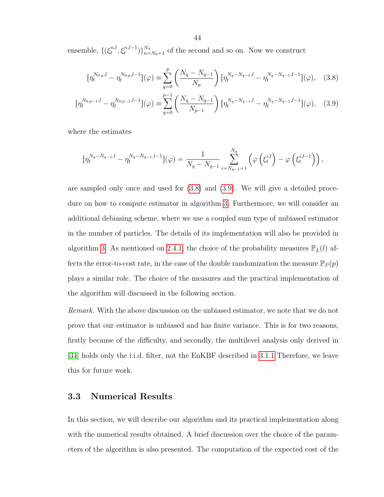ensemble,  $\{\left(\xi_t^{n,l}\right)$  $\{t^{n,l}, \xi_t^{n,l-1}\}_{n=N_0+1}^{N_1}$  of the second and so on. Now we construct

<span id="page-43-2"></span><span id="page-43-1"></span>
$$
\left[\eta_t^{N_{0:p},l} - \eta_t^{N_{0:p},l-1}\right](\varphi) \equiv \sum_{q=0}^p \left(\frac{N_q - N_{q-1}}{N_p}\right) \left[\eta_t^{N_q - N_{q-1},l} - \eta_t^{N_q - N_{q-1},l-1}\right](\varphi), \quad (3.8)
$$

$$
\left[\eta_t^{N_{0:p-1},l} - \eta_t^{N_{0:p-1},l-1}\right](\varphi) \equiv \sum_{q=0}^{p-1} \left(\frac{N_q - N_{q-1}}{N_{p-1}}\right) \left[\eta_t^{N_q - N_{q-1},l} - \eta_t^{N_q - N_{q-1},l-1}\right](\varphi),\tag{3.9}
$$

where the estimates

$$
\left[\eta_t^{N_q - N_{q-1},l} - \eta_t^{N_q - N_{q-1},l-1}\right](\varphi) = \frac{1}{N_q - N_{q-1}} \sum_{i=N_{q-1}+1}^{N_q} \left(\varphi\left(\xi_t^{i,l}\right) - \varphi\left(\xi_t^{i,l-1}\right)\right),
$$

are sampled only once and used for [\(3.8\)](#page-43-1) and [\(3.9\)](#page-43-2). We will give a detailed procedure on how to compute estimator in algorithm [3.](#page-44-0) Furthermore, we will consider an additional debiasing scheme, where we use a coupled sum type of unbiased estimator in the number of particles. The details of its implementation will also be provided in algorithm [3.](#page-44-0) As mentioned on [2.4.1,](#page-27-0) the choice of the probability measures  $\mathbb{P}_L(l)$  affects the error-to-cost rate, in the case of the double randomization the measure  $\mathbb{P}_P(p)$ plays a similar role. The choice of the measures and the practical implementation of the algorithm will discussed in the following section.

Remark. With the above discussion on the unbiased estimator, we note that we do not prove that our estimator is unbiased and has finite variance. This is for two reasons, firstly because of the difficulty, and secondly, the multilevel analysis only derived in [\[34\]](#page-56-10) holds only the i.i.d. filter, not the EnKBF described in [3.1.1](#page-36-0) Therefore, we leave this for future work.

## <span id="page-43-0"></span>3.3 Numerical Results

In this section, we will describe our algorithm and its practical implementation along with the numerical results obtained. A brief discussion over the choice of the parameters of the algorithm is also presented. The computation of the expected cost of the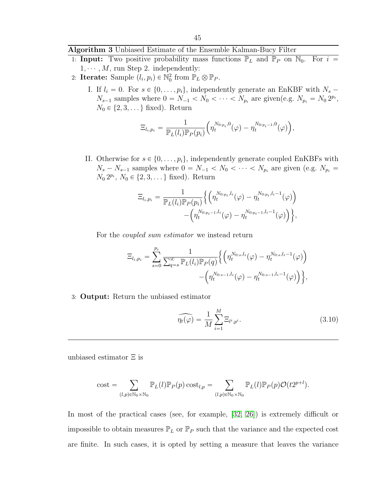## <span id="page-44-0"></span>Algorithm 3 Unbiased Estimate of the Ensemble Kalman-Bucy Filter

- 1: **Input:** Two positive probability mass functions  $\mathbb{P}_L$  and  $\mathbb{P}_P$  on  $\mathbb{N}_0$ . For  $i =$  $1, \dots, M$ , run Step 2. independently:
- 2: Iterate: Sample  $(l_i, p_i) \in \mathbb{N}_0^2$  from  $\mathbb{P}_L \otimes \mathbb{P}_P$ .
	- I. If  $l_i = 0$ . For  $s \in \{0, \ldots, p_i\}$ , independently generate an EnKBF with  $N_s$   $N_{s-1}$  samples where  $0 = N_{-1} < N_0 < \cdots < N_{p_i}$  are given(e.g.  $N_{p_i} = N_0 2^{p_i}$ ,  $N_0 \in \{2, 3, \dots\}$  fixed). Return

$$
\Xi_{l_i,p_i} = \frac{1}{\mathbb{P}_L(l_i)\mathbb{P}_P(p_i)} \Big(\eta_t^{N_{0:p_i},0}(\varphi) - \eta_t^{N_{0:p_i-1},0}(\varphi)\Big),
$$

II. Otherwise for  $s \in \{0, \ldots, p_i\}$ , independently generate coupled EnKBFs with  $N_s - N_{s-1}$  samples where  $0 = N_{-1} < N_0 < \cdots < N_{p_i}$  are given (e.g.  $N_{p_i} =$  $N_0 2^{p_i}, N_0 \in \{2, 3, \dots\}$  fixed). Return

$$
\Xi_{l_i,p_i} = \frac{1}{\mathbb{P}_L(l_i)\mathbb{P}_P(p_i)} \Big\{ \Big(\eta_t^{N_{0:p_i},l_i}(\varphi) - \eta_t^{N_{0:p_i},l_i-1}(\varphi) \Big) - \Big(\eta_t^{N_{0:p_i-1},l_i}(\varphi) - \eta_t^{N_{0:p_i-1},l_i-1}(\varphi) \Big) \Big\},
$$

For the coupled sum estimator we instead return

$$
\Xi_{l_i,p_i} = \sum_{s=0}^{p_i} \frac{1}{\sum_{q=s}^{\infty} \mathbb{P}_L(l_i) \mathbb{P}_P(q)} \Big\{ \Big( \eta_t^{N_{0:s},l_i}(\varphi) - \eta_t^{N_{0:s},l_i-1}(\varphi) \Big) - \Big( \eta_t^{N_{0:s-1},l_i}(\varphi) - \eta_t^{N_{0:s-1},l_i-1}(\varphi) \Big) \Big\},
$$

3: Output: Return the unbiased estimator

<span id="page-44-1"></span>
$$
\widehat{\eta_t(\varphi)} = \frac{1}{M} \sum_{i=1}^{M} \Xi_{l^i, p^i}.
$$
\n(3.10)

unbiased estimator Ξ is

cost = 
$$
\sum_{(l,p)\in\mathbb{N}_0\times\mathbb{N}_0}\mathbb{P}_L(l)\mathbb{P}_P(p)\cos t_{l,p} = \sum_{(l,p)\in\mathbb{N}_0\times\mathbb{N}_0}\mathbb{P}_L(l)\mathbb{P}_P(p)\mathcal{O}(t2^{p+l}).
$$

In most of the practical cases (see, for example, [\[32,](#page-56-8) [26\]](#page-56-2)) is extremely difficult or impossible to obtain measures  $\mathbb{P}_L$  or  $\mathbb{P}_P$  such that the variance and the expected cost are finite. In such cases, it is opted by setting a measure that leaves the variance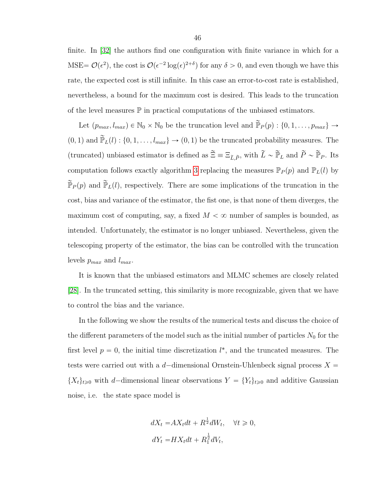finite. In [\[32\]](#page-56-8) the authors find one configuration with finite variance in which for a MSE=  $\mathcal{O}(\epsilon^2)$ , the cost is  $\mathcal{O}(\epsilon^{-2} \log(\epsilon)^{2+\delta})$  for any  $\delta > 0$ , and even though we have this rate, the expected cost is still infinite. In this case an error-to-cost rate is established, nevertheless, a bound for the maximum cost is desired. This leads to the truncation of the level measures  $\mathbb P$  in practical computations of the unbiased estimators.

Let  $(p_{max}, l_{max}) \in \mathbb{N}_0 \times \mathbb{N}_0$  be the truncation level and  $\widetilde{\mathbb{P}}_P(p)$  :  $\{0, 1, \ldots, p_{max}\} \rightarrow$  $p(0, 1)$  and  $\tilde{\mathbb{P}}_L(l)$  :  $\{0, 1, \ldots, l_{max}\} \to (0, 1)$  be the truncated probability measures. The (truncated) unbiased estimator is defined as  $\widetilde{\Xi}\equiv \Xi_{\widetilde{L}, \widetilde{P}},$  with  $\widetilde{L}\sim \widetilde{\mathbb{P}}_L$  and  $\widetilde{P}\sim \widetilde{\mathbb{P}}_P$ . Its computation follows exactly algorithm [3](#page-44-0) replacing the measures  $\mathbb{P}_P(p)$  and  $\mathbb{P}_L(l)$  by  $\widetilde{\mathbb{P}}_P(p)$  and  $\widetilde{\mathbb{P}}_L(l)$ , respectively. There are some implications of the truncation in the cost, bias and variance of the estimator, the fist one, is that none of them diverges, the maximum cost of computing, say, a fixed  $M < \infty$  number of samples is bounded, as intended. Unfortunately, the estimator is no longer unbiased. Nevertheless, given the telescoping property of the estimator, the bias can be controlled with the truncation levels  $p_{max}$  and  $l_{max}$ .

It is known that the unbiased estimators and MLMC schemes are closely related [\[28\]](#page-56-4). In the truncated setting, this similarity is more recognizable, given that we have to control the bias and the variance.

In the following we show the results of the numerical tests and discuss the choice of the different parameters of the model such as the initial number of particles  $N_0$  for the first level  $p = 0$ , the initial time discretization  $l^*$ , and the truncated measures. The tests were carried out with a d-dimensional Ornstein-Uhlenbeck signal process  $X =$  $\{X_t\}_{t\geq0}$  with d-dimensional linear observations  $Y = \{Y_t\}_{t\geq0}$  and additive Gaussian noise, i.e. the state space model is

$$
dX_t = AX_t dt + R^{\frac{1}{2}} dW_t, \quad \forall t \ge 0,
$$
  

$$
dY_t = HX_t dt + R_1^{\frac{1}{2}} dV_t,
$$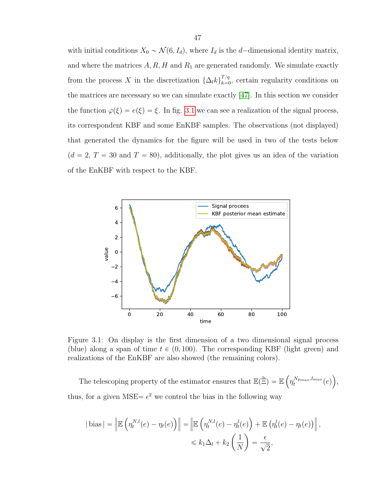with initial conditions  $X_0 \sim \mathcal{N}(6, I_d)$ , where  $I_d$  is the d-dimensional identity matrix, and where the matrices  $A, R, H$  and  $R_1$  are generated randomly. We simulate exactly from the process X in the discretization  $\{\Delta_l k\}_{k=0}^{T/q}$  $\frac{d^{1/q}}{k=0}$ , certain regularity conditions on the matrices are necessary so we can simulate exactly [\[47\]](#page-57-8). In this section we consider the function  $\varphi(\xi) = e(\xi) = \xi$ . In fig. [3.1](#page-46-0) we can see a realization of the signal process, its correspondent KBF and some EnKBF samples. The observations (not displayed) that generated the dynamics for the figure will be used in two of the tests below  $(d = 2, T = 30$  and  $T = 80)$ , additionally, the plot gives us an idea of the variation of the EnKBF with respect to the KBF.



<span id="page-46-0"></span>Figure 3.1: On display is the first dimension of a two dimensional signal process (blue) along a span of time  $t \in (0, 100)$ . The corresponding KBF (light green) and realizations of the EnKBF are also showed (the remaining colors).

The telescoping property of the estimator ensures that  $\mathbb{E}(\widetilde{\Xi}) = \mathbb{E}$  $\eta_t^{N_{pmax},l_{max}}(e)$ , thus, for a given MSE =  $\epsilon^2$  we control the bias in the following way

 $\mathbf{r}$ 

ji<br>Li

$$
|\text{bias}| = \left\| \mathbb{E} \left( \eta_t^{N,l}(e) - \eta_t(e) \right) \right\| = \left\| \mathbb{E} \left( \eta_t^{N,l}(e) - \eta_t^{l}(e) \right) + \mathbb{E} \left( \eta_t^{l}(e) - \eta_t(e) \right) \right\|,
$$
  

$$
\leq k_1 \Delta_l + k_2 \left( \frac{1}{N} \right) = \frac{\epsilon}{\sqrt{2}},
$$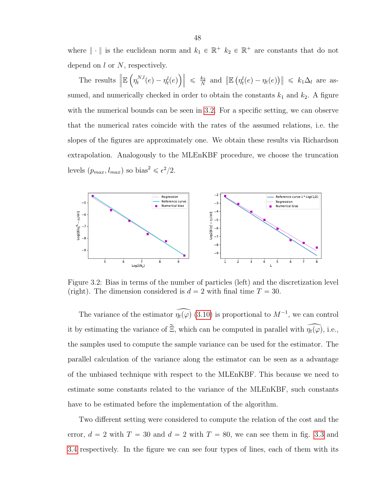where  $\|\cdot\|$  is the euclidean norm and  $k_1 \in \mathbb{R}^+$   $k_2 \in \mathbb{R}^+$  are constants that do not depend on  $l$  or  $N$ , respectively.

The results  $\Vert$ E $\left( \eta_t^{N,l} \right)$  $\eta_t^{N,l}(e) - \eta_t^l(e)$  $\Big\}\Big\| \leqslant \frac{k_2}{N}$  $\frac{k_2}{N}$  and  $\mathbb{E}$  (  $\eta_t^l(e) - \eta_t(e)$  $\|\leq k_1\Delta_l\|$  are assumed, and numerically checked in order to obtain the constants  $k_1$  and  $k_2$ . A figure with the numerical bounds can be seen in [3.2.](#page-47-0) For a specific setting, we can observe that the numerical rates coincide with the rates of the assumed relations, i.e. the slopes of the figures are approximately one. We obtain these results via Richardson extrapolation. Analogously to the MLEnKBF procedure, we choose the truncation levels  $(p_{max}, l_{max})$  so bias<sup>2</sup>  $\leq \epsilon^2/2$ .



<span id="page-47-0"></span>Figure 3.2: Bias in terms of the number of particles (left) and the discretization level (right). The dimension considered is  $d = 2$  with final time  $T = 30$ .

The variance of the estimator  $\widehat{\eta_t(\varphi)}$  [\(3.10\)](#page-44-1) is proportional to  $M^{-1}$ , we can control it by estimating the variance of  $\tilde{\Xi}$ , which can be computed in parallel with  $\widehat{\eta_t(\varphi)}$ , i.e., the samples used to compute the sample variance can be used for the estimator. The parallel calculation of the variance along the estimator can be seen as a advantage of the unbiased technique with respect to the MLEnKBF. This because we need to estimate some constants related to the variance of the MLEnKBF, such constants have to be estimated before the implementation of the algorithm.

Two different setting were considered to compute the relation of the cost and the error,  $d = 2$  with  $T = 30$  and  $d = 2$  with  $T = 80$ , we can see them in fig. [3.3](#page-48-0) and [3.4](#page-49-0) respectively. In the figure we can see four types of lines, each of them with its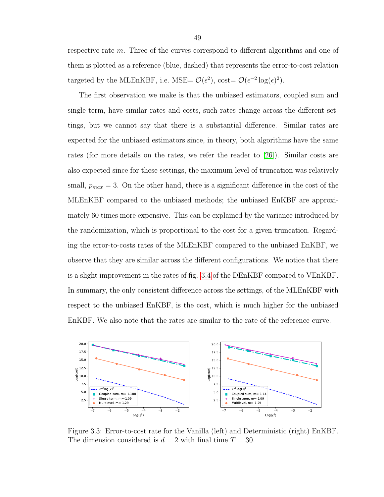respective rate m. Three of the curves correspond to different algorithms and one of them is plotted as a reference (blue, dashed) that represents the error-to-cost relation targeted by the MLEnKBF, i.e. MSE=  $\mathcal{O}(\epsilon^2)$ , cost=  $\mathcal{O}(\epsilon^{-2} \log(\epsilon)^2)$ .

The first observation we make is that the unbiased estimators, coupled sum and single term, have similar rates and costs, such rates change across the different settings, but we cannot say that there is a substantial difference. Similar rates are expected for the unbiased estimators since, in theory, both algorithms have the same rates (for more details on the rates, we refer the reader to [\[26\]](#page-56-2)). Similar costs are also expected since for these settings, the maximum level of truncation was relatively small,  $p_{max} = 3$ . On the other hand, there is a significant difference in the cost of the MLEnKBF compared to the unbiased methods; the unbiased EnKBF are approximately 60 times more expensive. This can be explained by the variance introduced by the randomization, which is proportional to the cost for a given truncation. Regarding the error-to-costs rates of the MLEnKBF compared to the unbiased EnKBF, we observe that they are similar across the different configurations. We notice that there is a slight improvement in the rates of fig. [3.4](#page-49-0) of the DEnKBF compared to VEnKBF. In summary, the only consistent difference across the settings, of the MLEnKBF with respect to the unbiased EnKBF, is the cost, which is much higher for the unbiased EnKBF. We also note that the rates are similar to the rate of the reference curve.



<span id="page-48-0"></span>Figure 3.3: Error-to-cost rate for the Vanilla (left) and Deterministic (right) EnKBF. The dimension considered is  $d = 2$  with final time  $T = 30$ .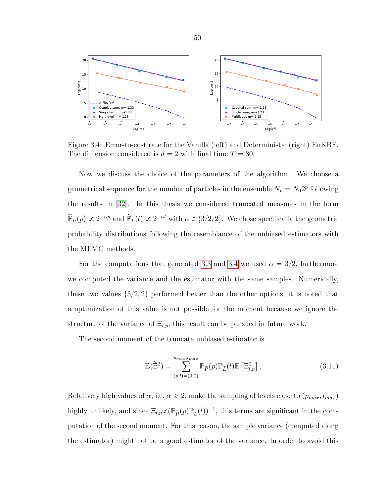

<span id="page-49-0"></span>Figure 3.4: Error-to-cost rate for the Vanilla (left) and Deterministic (right) EnKBF. The dimension considered is  $d = 2$  with final time  $T = 80$ .

Now we discuss the choice of the parameters of the algorithm. We choose a geometrical sequence for the number of particles in the ensemble  $N_p = N_0 2^p$  following the results in [\[32\]](#page-56-8). In this thesis we considered truncated measures in the form  $\widetilde{\mathbb{P}}_P(p) \propto 2^{-\alpha p}$  and  $\widetilde{\mathbb{P}}_L(l) \propto 2^{-\alpha l}$  with  $\alpha \in \{3/2, 2\}$ . We chose specifically the geometric probability distributions following the resemblance of the unbiased estimators with the MLMC methods.

For the computations that generated [3.3](#page-48-0) and [3.4](#page-49-0) we used  $\alpha = 3/2$ , furthermore we computed the variance and the estimator with the same samples. Numerically, these two values  $\{3/2, 2\}$  performed better than the other options, it is noted that a optimization of this value is not possible for the moment because we ignore the structure of the variance of  $\Xi_{l,p}$ , this result can be pursued in future work.

The second moment of the truncate unbiased estimator is

$$
\mathbb{E}(\tilde{\Xi}^2) = \sum_{(p,l)=(0,0)}^{p_{max},l_{max}} \mathbb{P}_{\tilde{P}}(p) \mathbb{P}_{\tilde{L}}(l) \mathbb{E}\left[\Xi_{l,p}^2\right],\tag{3.11}
$$

Relatively high values of  $\alpha$ , i.e.  $\alpha \geq 2$ , make the sampling of levels close to  $(p_{max}, l_{max})$ highly unlikely, and since  $\Xi_{l,p}\infty(\mathbb{P}_{\tilde{P}}(p)\mathbb{P}_{\tilde{L}}(l))^{-1}$ , this terms are significant in the computation of the second moment. For this reason, the sample variance (computed along the estimator) might not be a good estimator of the variance. In order to avoid this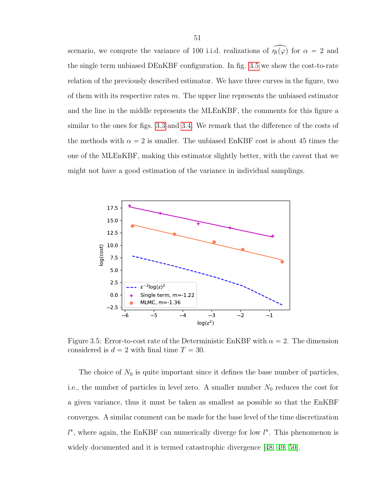scenario, we compute the variance of 100 i.i.d. realizations of  $\widehat{\eta_t(\varphi)}$  for  $\alpha = 2$  and the single term unbiased DEnKBF configuration. In fig. [3.5](#page-50-0) we show the cost-to-rate relation of the previously described estimator. We have three curves in the figure, two of them with its respective rates  $m$ . The upper line represents the unbiased estimator and the line in the middle represents the MLEnKBF, the comments for this figure a similar to the ones for figs. [3.3](#page-48-0) and [3.4.](#page-49-0) We remark that the difference of the costs of the methods with  $\alpha = 2$  is smaller. The unbiased EnKBF cost is about 45 times the one of the MLEnKBF, making this estimator slightly better, with the caveat that we might not have a good estimation of the variance in individual samplings.

![](_page_50_Figure_1.jpeg)

<span id="page-50-0"></span>Figure 3.5: Error-to-cost rate of the Deterministic EnKBF with  $\alpha = 2$ . The dimension considered is  $d = 2$  with final time  $T = 30$ .

The choice of  $N_0$  is quite important since it defines the base number of particles, i.e., the number of particles in level zero. A smaller number  $N_0$  reduces the cost for a given variance, thus it must be taken as smallest as possible so that the EnKBF converges. A similar comment can be made for the base level of the time discretization  $l^*$ , where again, the EnKBF can numerically diverge for low  $l^*$ . This phenomenon is widely documented and it is termed catastrophic divergence [\[48,](#page-57-9) [49,](#page-57-10) [50\]](#page-57-11).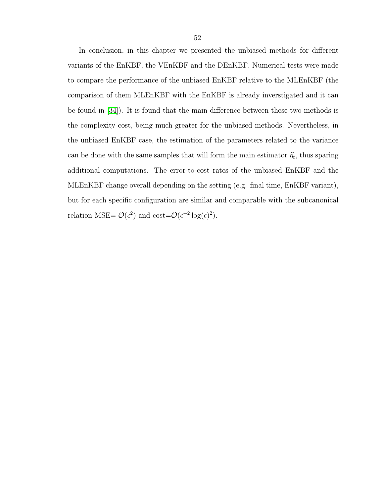In conclusion, in this chapter we presented the unbiased methods for different variants of the EnKBF, the VEnKBF and the DEnKBF. Numerical tests were made to compare the performance of the unbiased EnKBF relative to the MLEnKBF (the comparison of them MLEnKBF with the EnKBF is already inverstigated and it can be found in [\[34\]](#page-56-10)). It is found that the main difference between these two methods is the complexity cost, being much greater for the unbiased methods. Nevertheless, in the unbiased EnKBF case, the estimation of the parameters related to the variance can be done with the same samples that will form the main estimator  $\hat{\eta_t}$ , thus sparing additional computations. The error-to-cost rates of the unbiased EnKBF and the MLEnKBF change overall depending on the setting (e.g. final time, EnKBF variant), but for each specific configuration are similar and comparable with the subcanonical relation MSE=  $\mathcal{O}(\epsilon^2)$  and cost= $\mathcal{O}(\epsilon^{-2} \log(\epsilon)^2)$ .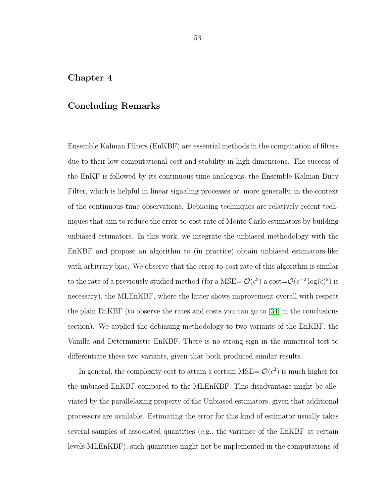## <span id="page-52-0"></span>Chapter 4

## Concluding Remarks

Ensemble Kalman Filters (EnKBF) are essential methods in the computation of filters due to their low computational cost and stability in high dimensions. The success of the EnKF is followed by its continuous-time analogous, the Ensemble Kalman-Bucy Filter, which is helpful in linear signaling processes or, more generally, in the context of the continuous-time observations. Debiasing techniques are relatively recent techniques that aim to reduce the error-to-cost rate of Monte Carlo estimators by building unbiased estimators. In this work, we integrate the unbiased methodology with the EnKBF and propose an algorithm to (in practice) obtain unbiased estimators-like with arbitrary bias. We observe that the error-to-cost rate of this algorithm is similar to the rate of a previously studied method (for a MSE=  $\mathcal{O}(\epsilon^2)$  a cost= $\mathcal{O}(\epsilon^{-2} \log(\epsilon)^2)$  is necessary), the MLEnKBF, where the latter shows improvement overall with respect the plain EnKBF (to observe the rates and costs you can go to [\[34\]](#page-56-10) in the conclusions section). We applied the debiasing methodology to two variants of the EnKBF, the Vanilla and Deterministic EnKBF. There is no strong sign in the numerical test to differentiate these two variants, given that both produced similar results.

In general, the complexity cost to attain a certain MSE=  $\mathcal{O}(\epsilon^2)$  is much higher for the unbiased EnKBF compared to the MLEnKBF. This disadvantage might be alleviated by the parallelazing property of the Unbiased estimators, given that additional processors are available. Estimating the error for this kind of estimator usually takes several samples of associated quantities (e.g., the variance of the EnKBF at certain levels MLEnKBF); such quantities might not be implemented in the computations of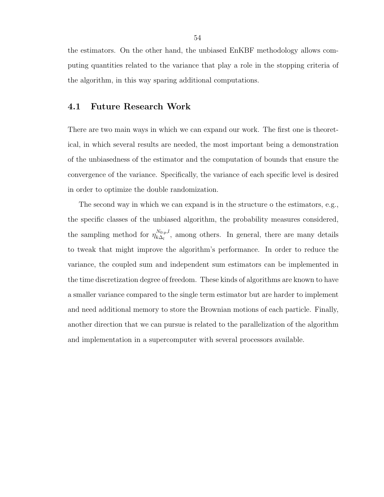the estimators. On the other hand, the unbiased EnKBF methodology allows computing quantities related to the variance that play a role in the stopping criteria of the algorithm, in this way sparing additional computations.

## <span id="page-53-0"></span>4.1 Future Research Work

There are two main ways in which we can expand our work. The first one is theoretical, in which several results are needed, the most important being a demonstration of the unbiasedness of the estimator and the computation of bounds that ensure the convergence of the variance. Specifically, the variance of each specific level is desired in order to optimize the double randomization.

The second way in which we can expand is in the structure o the estimators, e.g., the specific classes of the unbiased algorithm, the probability measures considered, the sampling method for  $\eta_{k\Delta}^{N_{0:p},l}$  $\sum_{k\Delta_l}^{N_{0:p},i}$ , among others. In general, there are many details to tweak that might improve the algorithm's performance. In order to reduce the variance, the coupled sum and independent sum estimators can be implemented in the time discretization degree of freedom. These kinds of algorithms are known to have a smaller variance compared to the single term estimator but are harder to implement and need additional memory to store the Brownian motions of each particle. Finally, another direction that we can pursue is related to the parallelization of the algorithm and implementation in a supercomputer with several processors available.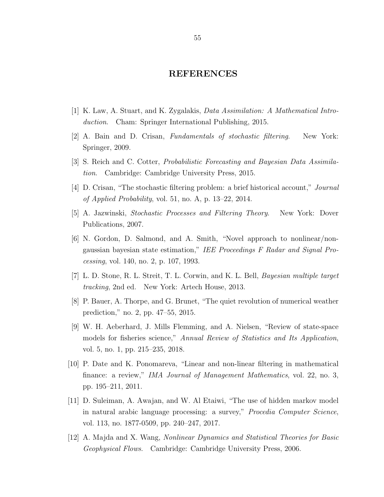## REFERENCES

- <span id="page-54-0"></span>[1] K. Law, A. Stuart, and K. Zygalakis, Data Assimilation: A Mathematical Introduction. Cham: Springer International Publishing, 2015.
- <span id="page-54-1"></span>[2] A. Bain and D. Crisan, Fundamentals of stochastic filtering. New York: Springer, 2009.
- <span id="page-54-2"></span>[3] S. Reich and C. Cotter, Probabilistic Forecasting and Bayesian Data Assimilation. Cambridge: Cambridge University Press, 2015.
- <span id="page-54-3"></span>[4] D. Crisan, "The stochastic filtering problem: a brief historical account," Journal of Applied Probability, vol. 51, no. A, p.  $13-22$ ,  $2014$ .
- <span id="page-54-4"></span>[5] A. Jazwinski, Stochastic Processes and Filtering Theory. New York: Dover Publications, 2007.
- <span id="page-54-5"></span>[6] N. Gordon, D. Salmond, and A. Smith, "Novel approach to nonlinear/nongaussian bayesian state estimation," IEE Proceedings F Radar and Signal Processing, vol. 140, no. 2, p. 107, 1993.
- <span id="page-54-6"></span>[7] L. D. Stone, R. L. Streit, T. L. Corwin, and K. L. Bell, Bayesian multiple target tracking, 2nd ed. New York: Artech House, 2013.
- <span id="page-54-7"></span>[8] P. Bauer, A. Thorpe, and G. Brunet, "The quiet revolution of numerical weather prediction," no. 2, pp. 47–55, 2015.
- <span id="page-54-8"></span>[9] W. H. Aeberhard, J. Mills Flemming, and A. Nielsen, "Review of state-space models for fisheries science," Annual Review of Statistics and Its Application, vol. 5, no. 1, pp. 215–235, 2018.
- <span id="page-54-9"></span>[10] P. Date and K. Ponomareva, "Linear and non-linear filtering in mathematical finance: a review," IMA Journal of Management Mathematics, vol. 22, no. 3, pp. 195–211, 2011.
- <span id="page-54-10"></span>[11] D. Suleiman, A. Awajan, and W. Al Etaiwi, "The use of hidden markov model in natural arabic language processing: a survey," Procedia Computer Science, vol. 113, no. 1877-0509, pp. 240–247, 2017.
- <span id="page-54-11"></span>[12] A. Majda and X. Wang, Nonlinear Dynamics and Statistical Theories for Basic Geophysical Flows. Cambridge: Cambridge University Press, 2006.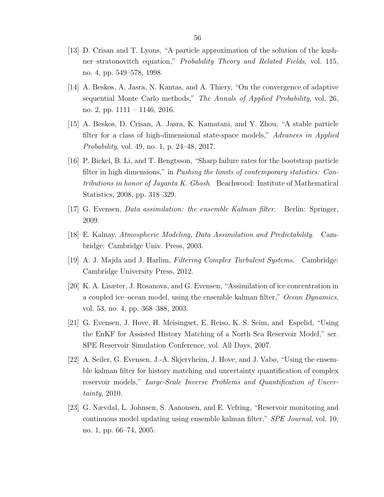- <span id="page-55-0"></span>[13] D. Crisan and T. Lyons, "A particle approximation of the solution of the kushner–stratonovitch equation," Probability Theory and Related Fields, vol. 115, no. 4, pp. 549–578, 1998.
- <span id="page-55-1"></span>[14] A. Beskos, A. Jasra, N. Kantas, and A. Thiery, "On the convergence of adaptive sequential Monte Carlo methods," The Annals of Applied Probability, vol. 26, no. 2, pp. 1111 – 1146, 2016.
- <span id="page-55-2"></span>[15] A. Beskos, D. Crisan, A. Jasra, K. Kamatani, and Y. Zhou, "A stable particle filter for a class of high-dimensional state-space models," Advances in Applied Probability, vol. 49, no. 1, p. 24–48, 2017.
- <span id="page-55-3"></span>[16] P. Bickel, B. Li, and T. Bengtsson, "Sharp failure rates for the bootstrap particle filter in high dimensions," in *Pushing the limits of contemporary statistics: Con*tributions in honor of Jayanta K. Ghosh. Beachwood: Institute of Mathematical Statistics, 2008, pp. 318–329.
- <span id="page-55-4"></span>[17] G. Evensen, Data assimilation: the ensemble Kalman filter. Berlin: Springer, 2009.
- <span id="page-55-5"></span>[18] E. Kalnay, Atmospheric Modeling, Data Assimilation and Predictability. Cambridge: Cambridge Univ. Press, 2003.
- <span id="page-55-6"></span>[19] A. J. Majda and J. Harlim, Filtering Complex Turbulent Systems. Cambridge: Cambridge University Press, 2012.
- <span id="page-55-7"></span>[20] K. A. Lisæter, J. Rosanova, and G. Evensen, "Assimilation of ice concentration in a coupled ice–ocean model, using the ensemble kalman filter," Ocean Dynamics, vol. 53, no. 4, pp. 368–388, 2003.
- <span id="page-55-8"></span>[21] G. Evensen, J. Hove, H. Meisingset, E. Reiso, K. S. Seim, and Espelid, "Using the EnKF for Assisted History Matching of a North Sea Reservoir Model," ser. SPE Reservoir Simulation Conference, vol. All Days, 2007.
- <span id="page-55-9"></span>[22] A. Seiler, G. Evensen, J.-A. Skjervheim, J. Hove, and J. Vabø, "Using the ensemble kalman filter for history matching and uncertainty quantification of complex reservoir models," Large-Scale Inverse Problems and Quantification of Uncertainty, 2010.
- <span id="page-55-10"></span>[23] G. Nævdal, L. Johnsen, S. Aanonsen, and E. Vefring, "Reservoir monitoring and continuous model updating using ensemble kalman filter," SPE Journal, vol. 10, no. 1, pp. 66–74, 2005.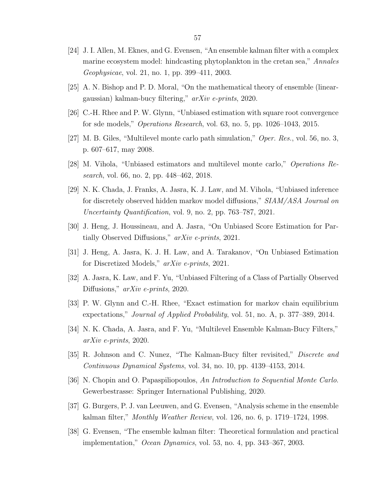- <span id="page-56-0"></span>[24] J. I. Allen, M. Eknes, and G. Evensen, "An ensemble kalman filter with a complex marine ecosystem model: hindcasting phytoplankton in the cretan sea," Annales Geophysicae, vol. 21, no. 1, pp. 399–411, 2003.
- <span id="page-56-1"></span>[25] A. N. Bishop and P. D. Moral, "On the mathematical theory of ensemble (lineargaussian) kalman-bucy filtering," arXiv e-prints, 2020.
- <span id="page-56-2"></span>[26] C.-H. Rhee and P. W. Glynn, "Unbiased estimation with square root convergence for sde models," Operations Research, vol. 63, no. 5, pp. 1026–1043, 2015.
- <span id="page-56-3"></span>[27] M. B. Giles, "Multilevel monte carlo path simulation," Oper. Res., vol. 56, no. 3, p. 607–617, may 2008.
- <span id="page-56-4"></span>[28] M. Vihola, "Unbiased estimators and multilevel monte carlo," Operations Research, vol. 66, no. 2, pp. 448–462, 2018.
- <span id="page-56-5"></span>[29] N. K. Chada, J. Franks, A. Jasra, K. J. Law, and M. Vihola, "Unbiased inference for discretely observed hidden markov model diffusions," SIAM/ASA Journal on Uncertainty Quantification, vol. 9, no. 2, pp. 763–787, 2021.
- <span id="page-56-6"></span>[30] J. Heng, J. Houssineau, and A. Jasra, "On Unbiased Score Estimation for Partially Observed Diffusions," arXiv e-prints, 2021.
- <span id="page-56-7"></span>[31] J. Heng, A. Jasra, K. J. H. Law, and A. Tarakanov, "On Unbiased Estimation for Discretized Models," arXiv e-prints, 2021.
- <span id="page-56-8"></span>[32] A. Jasra, K. Law, and F. Yu, "Unbiased Filtering of a Class of Partially Observed Diffusions," *arXiv e-prints*, 2020.
- <span id="page-56-9"></span>[33] P. W. Glynn and C.-H. Rhee, "Exact estimation for markov chain equilibrium expectations," Journal of Applied Probability, vol. 51, no. A, p. 377–389, 2014.
- <span id="page-56-10"></span>[34] N. K. Chada, A. Jasra, and F. Yu, "Multilevel Ensemble Kalman-Bucy Filters," arXiv e-prints, 2020.
- <span id="page-56-11"></span>[35] R. Johnson and C. Nunez, "The Kalman-Bucy filter revisited," Discrete and Continuous Dynamical Systems, vol. 34, no. 10, pp. 4139–4153, 2014.
- <span id="page-56-12"></span>[36] N. Chopin and O. Papaspiliopoulos, An Introduction to Sequential Monte Carlo. Gewerbestrasse: Springer International Publishing, 2020.
- <span id="page-56-13"></span>[37] G. Burgers, P. J. van Leeuwen, and G. Evensen, "Analysis scheme in the ensemble kalman filter," Monthly Weather Review, vol. 126, no. 6, p. 1719–1724, 1998.
- <span id="page-56-14"></span>[38] G. Evensen, "The ensemble kalman filter: Theoretical formulation and practical implementation," Ocean Dynamics, vol. 53, no. 4, pp. 343–367, 2003.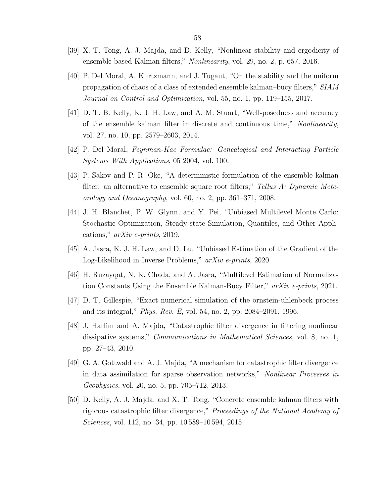- <span id="page-57-0"></span>[39] X. T. Tong, A. J. Majda, and D. Kelly, "Nonlinear stability and ergodicity of ensemble based Kalman filters," Nonlinearity, vol. 29, no. 2, p. 657, 2016.
- <span id="page-57-1"></span>[40] P. Del Moral, A. Kurtzmann, and J. Tugaut, "On the stability and the uniform propagation of chaos of a class of extended ensemble kalman–bucy filters," SIAM Journal on Control and Optimization, vol. 55, no. 1, pp. 119–155, 2017.
- <span id="page-57-2"></span>[41] D. T. B. Kelly, K. J. H. Law, and A. M. Stuart, "Well-posedness and accuracy of the ensemble kalman filter in discrete and continuous time," Nonlinearity, vol. 27, no. 10, pp. 2579–2603, 2014.
- <span id="page-57-3"></span>[42] P. Del Moral, Feynman-Kac Formulae: Genealogical and Interacting Particle Systems With Applications, 05 2004, vol. 100.
- <span id="page-57-4"></span>[43] P. Sakov and P. R. Oke, "A deterministic formulation of the ensemble kalman filter: an alternative to ensemble square root filters," Tellus A: Dynamic Meteorology and Oceanography, vol. 60, no. 2, pp.  $361-371$ ,  $2008$ .
- <span id="page-57-5"></span>[44] J. H. Blanchet, P. W. Glynn, and Y. Pei, "Unbiased Multilevel Monte Carlo: Stochastic Optimization, Steady-state Simulation, Quantiles, and Other Applications," arXiv e-prints, 2019.
- <span id="page-57-6"></span>[45] A. Jasra, K. J. H. Law, and D. Lu, "Unbiased Estimation of the Gradient of the Log-Likelihood in Inverse Problems," arXiv e-prints, 2020.
- <span id="page-57-7"></span>[46] H. Ruzayqat, N. K. Chada, and A. Jasra, "Multilevel Estimation of Normalization Constants Using the Ensemble Kalman-Bucy Filter," arXiv e-prints, 2021.
- <span id="page-57-8"></span>[47] D. T. Gillespie, "Exact numerical simulation of the ornstein-uhlenbeck process and its integral," Phys. Rev. E, vol. 54, no. 2, pp. 2084–2091, 1996.
- <span id="page-57-9"></span>[48] J. Harlim and A. Majda, "Catastrophic filter divergence in filtering nonlinear dissipative systems," Communications in Mathematical Sciences, vol. 8, no. 1, pp. 27–43, 2010.
- <span id="page-57-10"></span>[49] G. A. Gottwald and A. J. Majda, "A mechanism for catastrophic filter divergence in data assimilation for sparse observation networks," Nonlinear Processes in Geophysics, vol. 20, no. 5, pp. 705–712, 2013.
- <span id="page-57-11"></span>[50] D. Kelly, A. J. Majda, and X. T. Tong, "Concrete ensemble kalman filters with rigorous catastrophic filter divergence," Proceedings of the National Academy of Sciences, vol. 112, no. 34, pp. 10589–10594, 2015.